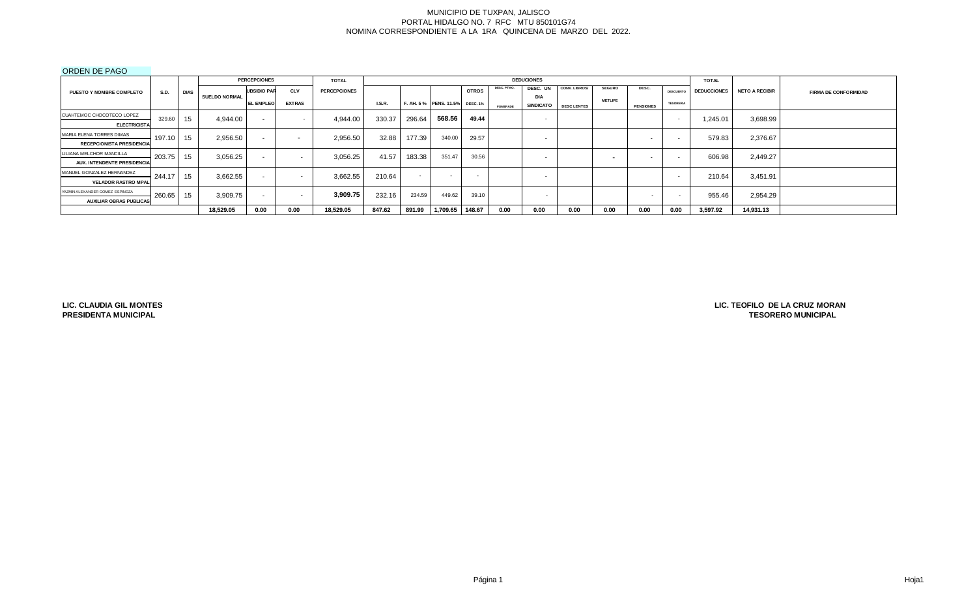#### ORDEN DE PAGO

|                                    |             |             |                      | <b>PERCEPCIONES</b> |                          | <b>TOTAL</b>        |        |        |                                |              |                 | <b>DEDUCIONES</b>        |                      |                          |                  |                  | <b>TOTAL</b>       |                       |                             |
|------------------------------------|-------------|-------------|----------------------|---------------------|--------------------------|---------------------|--------|--------|--------------------------------|--------------|-----------------|--------------------------|----------------------|--------------------------|------------------|------------------|--------------------|-----------------------|-----------------------------|
| <b>PUESTO Y NOMBRE COMPLETO</b>    | <b>S.D.</b> | <b>DIAS</b> |                      | <b>UBSIDIO PAR</b>  | <b>CLV</b>               | <b>PERCEPCIONES</b> |        |        |                                | <b>OTROS</b> | DESC. PTMO.     | DESC. UN                 | <b>CONV. LIBROS/</b> | <b>SEGURO</b>            | DESC.            | <b>DESCUENTO</b> | <b>DEDUCCIONES</b> | <b>NETO A RECIBIR</b> | <b>FIRMA DE CONFORMIDAD</b> |
|                                    |             |             | <b>SUELDO NORMAL</b> | <b>EL EMPLEO</b>    | <b>EXTRAS</b>            |                     | LS.R.  |        | F. AH. 5% PENS. 11.5% DESC. 1% |              |                 | <b>DIA</b>               |                      | <b>METLIFE</b>           |                  | <b>TESORERIA</b> |                    |                       |                             |
|                                    |             |             |                      |                     |                          |                     |        |        |                                |              | <b>FOMEPADE</b> | <b>SINDICATO</b>         | <b>DESC LENTES</b>   |                          | <b>PENSIONES</b> |                  |                    |                       |                             |
| CUAHTEMOC CHOCOTECO LOPEZ          | 329.60      | 15          | 4.944.00             | $\sim$              |                          | 4,944.00            | 330.37 | 296.64 | 568.56                         | 49.44        |                 | $\sim$                   |                      |                          |                  | $\sim$           | 1,245.01           | 3,698.99              |                             |
| <b>ELECTRICISTA</b>                |             |             |                      |                     |                          |                     |        |        |                                |              |                 |                          |                      |                          |                  |                  |                    |                       |                             |
| MARIA ELENA TORRES DIMAS           | 197.10      | 15          | 2,956.50             | $\sim$              | $\overline{\phantom{a}}$ | 2,956.50            | 32.88  | 177.39 | 340.00                         | 29.57        |                 | $\sim$                   |                      |                          | . .              | $\sim$           | 579.83             | 2,376.67              |                             |
| <b>RECEPCIONISTA PRESIDENCIA</b>   |             |             |                      |                     |                          |                     |        |        |                                |              |                 |                          |                      |                          |                  |                  |                    |                       |                             |
| LILIANA MELCHOR MANCILLA           | 203.75      | 15          | 3.056.25             | $\sim$              | $\overline{\phantom{a}}$ | 3,056.25            | 41.57  | 183.38 | 351.47                         | 30.56        |                 | $\overline{\phantom{0}}$ |                      | $\overline{\phantom{a}}$ |                  | $\sim$           | 606.98             | 2,449.27              |                             |
| <b>AUX. INTENDENTE PRESIDENCIA</b> |             |             |                      |                     |                          |                     |        |        |                                |              |                 |                          |                      |                          |                  |                  |                    |                       |                             |
| MANUEL GONZALEZ HERNANDEZ          | 244.17      | 15          | 3.662.55             | $\sim$              | $\overline{\phantom{a}}$ | 3.662.55            | 210.64 | $\sim$ | $\sim$                         | $\sim$       |                 | $\overline{\phantom{0}}$ |                      |                          |                  |                  | 210.64             | 3.451.91              |                             |
| <b>VELADOR RASTRO MPAL</b>         |             |             |                      |                     |                          |                     |        |        |                                |              |                 |                          |                      |                          |                  |                  |                    |                       |                             |
| YAZMIN ALEXANDER GOMEZ ESPINOZA    | 260.65 15   |             | 3,909.75             |                     | $\overline{\phantom{0}}$ | 3,909.75            | 232.16 | 234.59 | 449.62                         | 39.10        |                 |                          |                      |                          | $\sim$           |                  | 955.46             | 2,954.29              |                             |
| <b>AUXILIAR OBRAS PUBLICAS</b>     |             |             |                      |                     |                          |                     |        |        |                                |              |                 |                          |                      |                          |                  |                  |                    |                       |                             |
|                                    |             |             | 18,529.05            | 0.00                | 0.00                     | 18,529.05           | 847.62 | 891.99 | 1,709.65                       | 148.67       | 0.00            | 0.00                     | 0.00                 | 0.00                     | 0.00             | 0.00             | 3,597.92           | 14,931.13             |                             |

**LIC. CLAUDIA GIL MONTES PRESIDENTA MUNICIPAL**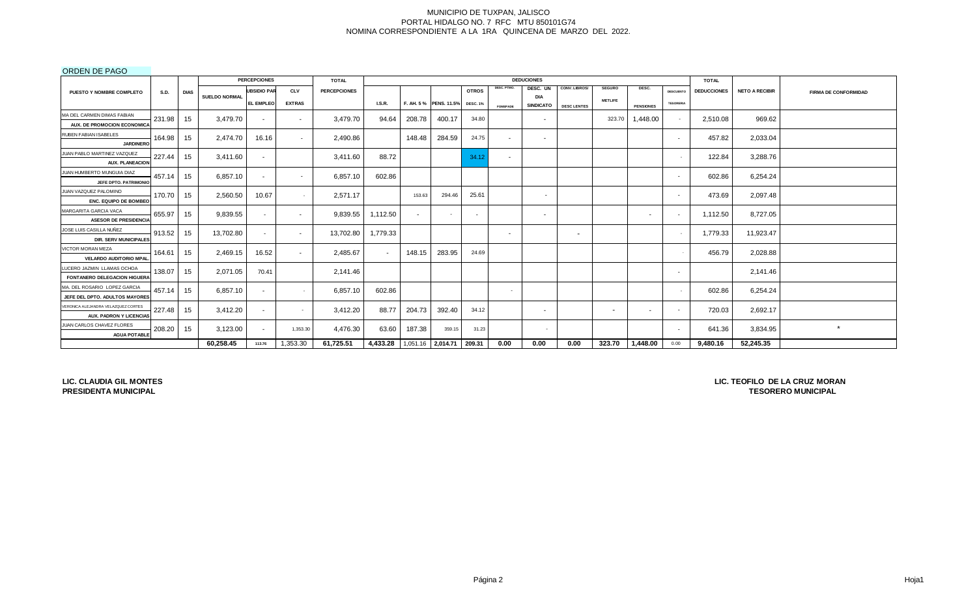## ORDEN DE PAGO

|                                                                |             |             |                      | <b>PERCEPCIONES</b> |                          | <b>TOTAL</b>        |                                         |        |                        |                          |             | <b>DEDUCIONES</b>        |                          |                          |                          |                          | <b>TOTAL</b>       |                       |                             |
|----------------------------------------------------------------|-------------|-------------|----------------------|---------------------|--------------------------|---------------------|-----------------------------------------|--------|------------------------|--------------------------|-------------|--------------------------|--------------------------|--------------------------|--------------------------|--------------------------|--------------------|-----------------------|-----------------------------|
| PUESTO Y NOMBRE COMPLETO                                       | <b>S.D.</b> | <b>DIAS</b> |                      | <b>UBSIDIO PAR</b>  | <b>CLV</b>               | <b>PERCEPCIONES</b> |                                         |        |                        | <b>OTROS</b>             | DESC. PTMO. | DESC. UN                 | CONV. LIBROS/            | <b>SEGURO</b>            | DESC.                    | <b>DESCUENTO</b>         | <b>DEDUCCIONES</b> | <b>NETO A RECIBIR</b> | <b>FIRMA DE CONFORMIDAD</b> |
|                                                                |             |             | <b>SUELDO NORMAL</b> | EL EMPLEO           | <b>EXTRAS</b>            |                     | <b>I.S.R.</b>                           |        | F. AH. 5 % PENS. 11.5% | <b>DESC. 1%</b>          |             | DIA<br><b>SINDICATO</b>  |                          | <b>METLIFE</b>           |                          | <b>TESORERIA</b>         |                    |                       |                             |
| MA DEL CARMEN DIMAS FABIAN                                     |             |             |                      |                     |                          |                     |                                         |        |                        |                          | FOMEPADE    |                          | <b>DESC LENTES</b>       |                          | <b>PENSIONES</b>         |                          |                    |                       |                             |
| AUX. DE PROMOCION ECONOMICA                                    | 231.98      | 15          | 3,479.70             | $\sim$              | $\sim$                   | 3,479.70            | 94.64                                   | 208.78 | 400.17                 | 34.80                    |             | $\sim$                   |                          | 323.70                   | 1,448.00                 | $\sim$                   | 2,510.08           | 969.62                |                             |
| RUBEN FABIAN ISABELES                                          |             |             |                      |                     |                          |                     |                                         |        |                        |                          |             |                          |                          |                          |                          |                          |                    |                       |                             |
| <b>JARDINERC</b>                                               | 164.98      | 15          | 2.474.70             | 16.16               | $\overline{\phantom{a}}$ | 2.490.86            |                                         | 148.48 | 284.59                 | 24.75                    | $\sim$      | $\overline{\phantom{a}}$ |                          |                          |                          | $\sim$                   | 457.82             | 2,033.04              |                             |
| JUAN PABLO MARTINEZ VAZQUEZ                                    |             |             |                      |                     |                          |                     |                                         |        |                        |                          |             |                          |                          |                          |                          |                          |                    |                       |                             |
| <b>AUX. PLANEACION</b>                                         | 227.44      | 15          | 3.411.60             | $\sim$              |                          | 3,411.60            | 88.72                                   |        |                        | 34.12                    | $\sim$      |                          |                          |                          |                          |                          | 122.84             | 3,288.76              |                             |
| JUAN HUMBERTO MUNGUIA DIAZ                                     | 457.14      | 15          | 6,857.10             |                     | $\overline{\phantom{a}}$ | 6,857.10            | 602.86                                  |        |                        |                          |             |                          |                          |                          |                          | $\sim$                   | 602.86             | 6,254.24              |                             |
| JEFE DPTO, PATRIMONIC                                          |             |             |                      | $\sim$              |                          |                     |                                         |        |                        |                          |             |                          |                          |                          |                          |                          |                    |                       |                             |
| JUAN VAZQUEZ PALOMINO                                          | 170.70      | 15          | 2,560.50             | 10.67               |                          | 2,571.17            |                                         | 153.63 | 294.46                 | 25.61                    |             | $\overline{\phantom{0}}$ |                          |                          |                          | $\overline{\phantom{a}}$ | 473.69             | 2,097.48              |                             |
| <b>ENC. EQUIPO DE BOMBEO</b>                                   |             |             |                      |                     |                          |                     |                                         |        |                        |                          |             |                          |                          |                          |                          |                          |                    |                       |                             |
| MARGARITA GARCIA VACA                                          | 655.97      | 15          | 9,839.55             | $\sim$              | $\sim$                   | 9,839.55            | 1,112.50                                |        |                        | $\overline{\phantom{a}}$ |             | $\sim$                   |                          |                          |                          | $\sim$                   | 1,112.50           | 8,727.05              |                             |
| <b>ASESOR DE PRESIDENCIA</b>                                   |             |             |                      |                     |                          |                     |                                         |        |                        |                          |             |                          |                          |                          |                          |                          |                    |                       |                             |
| JOSE LUIS CASILLA NUÑEZ                                        | 913.52      | 15          | 13,702.80            | $\sim$              | $\sim$                   | 13,702.80           | 1,779.33                                |        |                        |                          | $\sim$      |                          | $\overline{\phantom{a}}$ |                          |                          | $\sim$                   | 1,779.33           | 11,923.47             |                             |
| <b>DIR. SERV MUNICIPALES</b>                                   |             |             |                      |                     |                          |                     |                                         |        |                        |                          |             |                          |                          |                          |                          |                          |                    |                       |                             |
| VICTOR MORAN MEZA                                              | 164.61      | 15          | 2,469.15             | 16.52               | $\sim$                   | 2,485.67            | $\sim$                                  | 148.15 | 283.95                 | 24.69                    |             |                          |                          |                          |                          |                          | 456.79             | 2,028.88              |                             |
| <b>VELARDO AUDITORIO MPAL</b>                                  |             |             |                      |                     |                          |                     |                                         |        |                        |                          |             |                          |                          |                          |                          |                          |                    |                       |                             |
| LUCERO JAZMIN LLAMAS OCHOA                                     | 138.07      | 15          | 2,071.05             | 70.41               |                          | 2,141.46            |                                         |        |                        |                          |             |                          |                          |                          |                          | $\sim$                   |                    | 2,141.46              |                             |
| FONTANERO DELEGACION HIGUERA                                   |             |             |                      |                     |                          |                     |                                         |        |                        |                          |             |                          |                          |                          |                          |                          |                    |                       |                             |
| MA. DEL ROSARIO LOPEZ GARCIA<br>JEFE DEL DPTO, ADULTOS MAYORES | 457.14      | 15          | 6,857.10             | $\sim$              |                          | 6,857.10            | 602.86                                  |        |                        |                          | $\sim$      |                          |                          |                          |                          |                          | 602.86             | 6,254.24              |                             |
| VERONICA ALEJANDRA VELAZQUEZ CORTES                            |             |             |                      |                     |                          |                     |                                         |        |                        |                          |             |                          |                          |                          |                          |                          |                    |                       |                             |
| <b>AUX. PADRON Y LICENCIAS</b>                                 | 227.48      | 15          | 3,412.20             | $\sim$              | $\sim$                   | 3,412.20            | 88.77                                   | 204.73 | 392.40                 | 34.12                    |             | $\blacksquare$           |                          | $\overline{\phantom{a}}$ | $\overline{\phantom{a}}$ | $\sim$                   | 720.03             | 2,692.17              |                             |
| JUAN CARLOS CHAVEZ FLORES                                      |             |             |                      |                     |                          |                     |                                         |        |                        |                          |             |                          |                          |                          |                          |                          |                    |                       | $\star$                     |
| <b>AGUA POTABLE</b>                                            | 208.20      | 15          | 3,123.00             | $\sim$              | 1,353.30                 | 4,476.30            | 63.60                                   | 187.38 | 359.15                 | 31.23                    |             |                          |                          |                          |                          | $\sim$                   | 641.36             | 3,834.95              |                             |
|                                                                |             |             | 60,258.45            | 113.76              | 1,353.30                 | 61,725.51           | 4,433.28   1,051.16   2,014.71   209.31 |        |                        |                          | 0.00        | 0.00                     | 0.00                     | 323.70                   | 1,448.00                 | 0.00                     | 9,480.16           | 52,245.35             |                             |

**LIC. CLAUDIA GIL MONTES PRESIDENTA MUNICIPAL**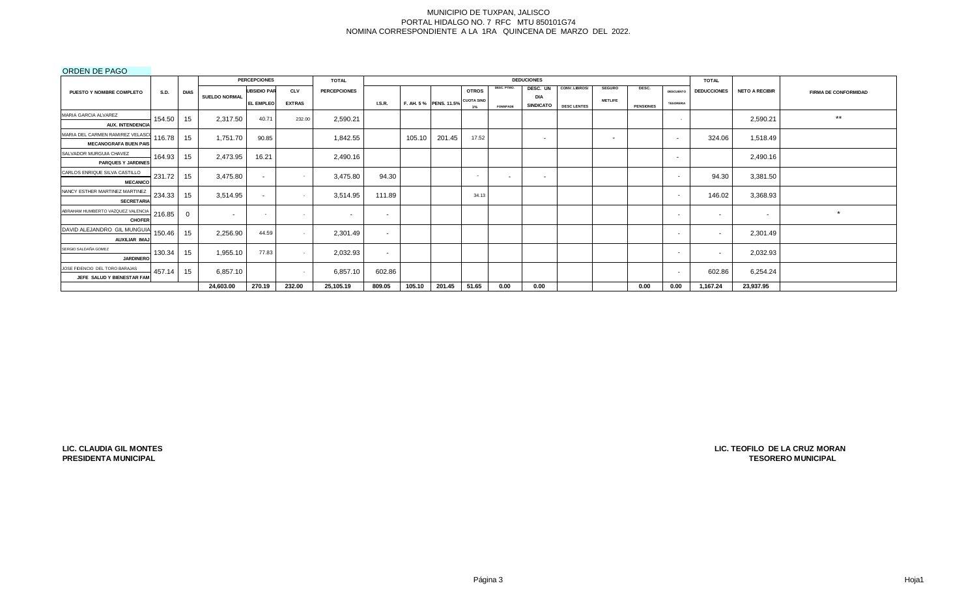## ORDEN DE PAGO

|                                                      |        |             |               | <b>PERCEPCIONES</b>      |               | <b>TOTAL</b>        |               |        |                       |                          |                 | <b>DEDUCIONES</b> |                    |                          |                  |                  | <b>TOTAL</b>             |                       |                             |
|------------------------------------------------------|--------|-------------|---------------|--------------------------|---------------|---------------------|---------------|--------|-----------------------|--------------------------|-----------------|-------------------|--------------------|--------------------------|------------------|------------------|--------------------------|-----------------------|-----------------------------|
| PUESTO Y NOMBRE COMPLETO                             | S.D.   | <b>DIAS</b> |               | <b>UBSIDIO PAR</b>       | <b>CLV</b>    | <b>PERCEPCIONES</b> |               |        |                       | <b>OTROS</b>             | DESC. PTMO.     | DESC. UN          | CONV. LIBROS/      | <b>SEGURO</b>            | DESC.            | <b>DESCUENTO</b> | <b>DEDUCCIONES</b>       | <b>NETO A RECIBIR</b> | <b>FIRMA DE CONFORMIDAD</b> |
|                                                      |        |             | SUELDO NORMAL | <b>EL EMPLEO</b>         | <b>EXTRAS</b> |                     | <b>I.S.R.</b> |        | F. AH. 5% PENS. 11.5% | <b>CUOTA SIND</b>        |                 | DIA               |                    | <b>METLIFE</b>           |                  | <b>TESORERIA</b> |                          |                       |                             |
|                                                      |        |             |               |                          |               |                     |               |        |                       | $1\%$                    | <b>FOMEPADE</b> | SINDICATO         | <b>DESC LENTES</b> |                          | <b>PENSIONES</b> |                  |                          |                       |                             |
| MARIA GARCIA ALVAREZ<br><b>AUX. INTENDENCIA</b>      | 154.50 | 15          | 2,317.50      | 40.71                    | 232.00        | 2,590.21            |               |        |                       |                          |                 |                   |                    |                          |                  | $\sim$           |                          | 2,590.21              | $***$                       |
|                                                      |        |             |               |                          |               |                     |               |        |                       |                          |                 |                   |                    |                          |                  |                  |                          |                       |                             |
| MARIA DEL CARMEN RAMIREZ VELASCO                     | 116.78 | 15          | 1,751.70      | 90.85                    |               | 1,842.55            |               | 105.10 | 201.45                | 17.52                    |                 | $\sim$            |                    | $\overline{\phantom{a}}$ |                  | $\sim$           | 324.06                   | 1,518.49              |                             |
| <b>MECANOGRAFA BUEN PAIS</b>                         |        |             |               |                          |               |                     |               |        |                       |                          |                 |                   |                    |                          |                  |                  |                          |                       |                             |
| SALVADOR MURGUIA CHAVEZ<br><b>PARQUES Y JARDINES</b> | 164.93 | 15          | 2,473.95      | 16.21                    |               | 2,490.16            |               |        |                       |                          |                 |                   |                    |                          |                  | $\sim$           |                          | 2,490.16              |                             |
|                                                      |        |             |               |                          |               |                     |               |        |                       |                          |                 |                   |                    |                          |                  |                  |                          |                       |                             |
| CARLOS ENRIQUE SILVA CASTILLO                        | 231.72 | 15          | 3,475.80      | $\sim$                   |               | 3,475.80            | 94.30         |        |                       | $\overline{\phantom{a}}$ | $\sim$          | $\sim$            |                    |                          |                  | $\sim$           | 94.30                    | 3,381.50              |                             |
| <b>MECANICO</b>                                      |        |             |               |                          |               |                     |               |        |                       |                          |                 |                   |                    |                          |                  |                  |                          |                       |                             |
| NANCY ESTHER MARTINEZ MARTINEZ<br><b>SECRETARIA</b>  | 234.33 | 15          | 3,514.95      | $\sim$                   | $\sim$        | 3,514.95            | 111.89        |        |                       | 34.13                    |                 |                   |                    |                          |                  | $\sim$           | 146.02                   | 3,368.93              |                             |
| ABRAHAM HUMBERTO VAZQUEZ VALENCIA                    |        |             |               |                          |               |                     |               |        |                       |                          |                 |                   |                    |                          |                  |                  |                          |                       | $\star$                     |
| <b>CHOFER</b>                                        | 216.85 |             | . .           | $\overline{\phantom{a}}$ | $\sim$        | $\sim$              | $\sim$        |        |                       |                          |                 |                   |                    |                          |                  | $\sim$           | $\sim$                   | $\sim$                |                             |
| DAVID ALEJANDRO GIL MUNGUIA                          |        |             |               | 44.59                    |               |                     |               |        |                       |                          |                 |                   |                    |                          |                  |                  |                          |                       |                             |
| AUXILIAR IMAJ                                        | 150.46 | 15          | 2,256.90      |                          |               | 2,301.49            | $\sim$        |        |                       |                          |                 |                   |                    |                          |                  | $\sim$           |                          | 2,301.49              |                             |
| SERGIO SALDAÑA GOMEZ                                 | 130.34 | 15          | 1,955.10      | 77.83                    | $\sim$        | 2,032.93            |               |        |                       |                          |                 |                   |                    |                          |                  | $\sim$           | $\overline{\phantom{a}}$ | 2,032.93              |                             |
| <b>JARDINERO</b>                                     |        |             |               |                          |               |                     | $\sim$        |        |                       |                          |                 |                   |                    |                          |                  |                  |                          |                       |                             |
| JOSE FIDENCIO DEL TORO BARAJAS                       | 457.14 | 15          | 6,857.10      |                          | $\sim$        | 6,857.10            |               |        |                       |                          |                 |                   |                    |                          |                  | $\sim$           | 602.86                   | 6,254.24              |                             |
| JEFE SALUD Y BIENESTAR FAM                           |        |             |               |                          |               |                     | 602.86        |        |                       |                          |                 |                   |                    |                          |                  |                  |                          |                       |                             |
|                                                      |        |             | 24,603.00     | 270.19                   | 232.00        | 25,105.19           | 809.05        | 105.10 | 201.45                | 51.65                    | 0.00            | 0.00              |                    |                          | 0.00             | 0.00             | 1,167.24                 | 23,937.95             |                             |

**LIC. CLAUDIA GIL MONTES PRESIDENTA MUNICIPAL**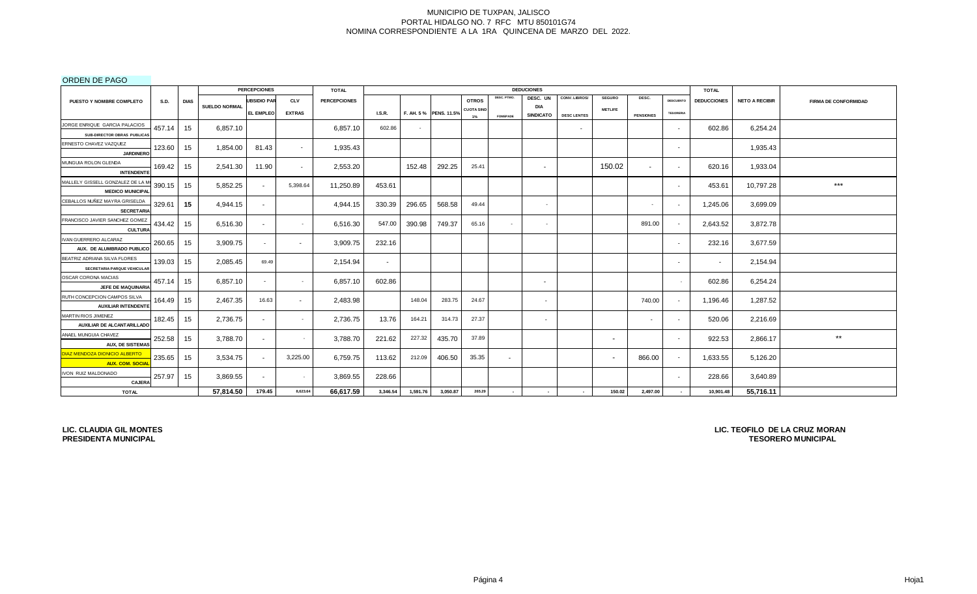ORDEN DE PAGO

| __ _ _ _ _ .                                                          |             |                      | <b>PERCEPCIONES</b> |               | <b>TOTAL</b>        |               |          |                       |                   |                 | <b>DEDUCIONES</b>       |                          |                          |                  |                          | <b>TOTAL</b>       |                       |                             |
|-----------------------------------------------------------------------|-------------|----------------------|---------------------|---------------|---------------------|---------------|----------|-----------------------|-------------------|-----------------|-------------------------|--------------------------|--------------------------|------------------|--------------------------|--------------------|-----------------------|-----------------------------|
| <b>S.D.</b><br><b>PUESTO Y NOMBRE COMPLETO</b>                        | <b>DIAS</b> |                      | <b>UBSIDIO PAR</b>  | <b>CLV</b>    | <b>PERCEPCIONES</b> |               |          |                       | <b>OTROS</b>      | DESC. PTMO.     | DESC. UN                | CONV. LIBROS/            | <b>SEGURO</b>            | DESC.            | <b>DESCUENTO</b>         | <b>DEDUCCIONES</b> | <b>NETO A RECIBIR</b> | <b>FIRMA DE CONFORMIDAD</b> |
|                                                                       |             | <b>SUELDO NORMAL</b> | <b>EL EMPLEO</b>    | <b>EXTRAS</b> |                     | <b>I.S.R.</b> |          | F. AH. 5% PENS. 11.5% | <b>CUOTA SIND</b> | <b>FOMEPADE</b> | DIA<br><b>SINDICATO</b> | <b>DESC LENTES</b>       | <b>METLIFE</b>           | <b>PENSIONES</b> | <b>TESORERIA</b>         |                    |                       |                             |
| JORGE ENRIQUE GARCIA PALACIOS                                         |             |                      |                     |               |                     |               |          |                       | $1\%$             |                 |                         |                          |                          |                  |                          |                    |                       |                             |
| 457.14<br>SUB-DIRECTOR OBRAS PUBLICAS                                 | 15          | 6,857.10             |                     |               | 6,857.10            | 602.86        | $\sim$   |                       |                   |                 |                         | $\overline{\phantom{a}}$ |                          |                  | $\sim$                   | 602.86             | 6,254.24              |                             |
| ERNESTO CHAVEZ VAZQUEZ<br>123.60<br><b>JARDINERO</b>                  | 15          | 1,854.00             | 81.43               | $\sim$        | 1,935.43            |               |          |                       |                   |                 |                         |                          |                          |                  | $\sim$                   |                    | 1,935.43              |                             |
| MUNGUIA ROLON GLENDA<br>169.42<br><b>INTENDENTE</b>                   | 15          | 2.541.30             | 11.90               | $\sim$        | 2,553.20            |               | 152.48   | 292.25                | 25.41             |                 | $\sim$                  |                          | 150.02                   | $\sim$           | $\sim$                   | 620.16             | 1,933.04              |                             |
| MALLELY GISSELL GONZALEZ DE LA M<br>390.15<br><b>MEDICO MUNICIPAL</b> | 15          | 5,852.25             | $\sim$              | 5,398.64      | 11,250.89           | 453.61        |          |                       |                   |                 |                         |                          |                          |                  | $\sim$                   | 453.61             | 10,797.28             | $***$                       |
| CEBALLOS NUÑEZ MAYRA GRISELDA<br>329.61<br><b>SECRETARIA</b>          | 15          | 4,944.15             | $\sim$              |               | 4,944.15            | 330.39        | 296.65   | 568.58                | 49.44             |                 | $\sim$                  |                          |                          |                  | $\overline{\phantom{0}}$ | 1,245.06           | 3,699.09              |                             |
| FRANCISCO JAVIER SANCHEZ GOMEZ<br>434.42<br><b>CULTURA</b>            | 15          | 6,516.30             | $\sim$              | $\sim$        | 6,516.30            | 547.00        | 390.98   | 749.37                | 65.16             | $\sim$          | $\sim$                  |                          |                          | 891.00           | $\sim$                   | 2,643.52           | 3,872.78              |                             |
| IVAN GUERRERO ALCARAZ<br>260.65<br>AUX. DE ALUMBRADO PUBLICO          | 15          | 3,909.75             | $\sim$              | $\sim$        | 3,909.75            | 232.16        |          |                       |                   |                 |                         |                          |                          |                  | $\sim$                   | 232.16             | 3,677.59              |                             |
| BEATRIZ ADRIANA SILVA FLORES<br>139.03<br>SECRETARIA PARQUE VEHICULAR | 15          | 2,085.45             | 69.49               |               | 2,154.94            | $\sim$        |          |                       |                   |                 |                         |                          |                          |                  | $\sim$                   | $\sim$             | 2,154.94              |                             |
| OSCAR CORONA MACIAS<br>457.14<br>JEFE DE MAQUINARIA                   | 15          | 6,857.10             | $\sim$              |               | 6,857.10            | 602.86        |          |                       |                   |                 | $\sim$                  |                          |                          |                  |                          | 602.86             | 6,254.24              |                             |
| RUTH CONCEPCION CAMPOS SILVA<br>164.49<br><b>AUXILIAR INTENDENTE</b>  | 15          | 2,467.35             | 16.63               | $\sim$        | 2,483.98            |               | 148.04   | 283.75                | 24.67             |                 | $\sim$                  |                          |                          | 740.00           | $\sim$                   | 1,196.46           | 1,287.52              |                             |
| MARTIN RIOS JIMENEZ<br>182.45<br>AUXILIAR DE ALCANTARILLADO           | 15          | 2,736.75             | $\sim$              | $\sim$        | 2,736.75            | 13.76         | 164.21   | 314.73                | 27.37             |                 | $\sim$                  |                          |                          | $\sim$           | $\sim$                   | 520.06             | 2,216.69              |                             |
| ANAEL MUNGUIA CHAVEZ<br>252.58<br><b>AUX, DE SISTEMAS</b>             | 15          | 3,788.70             | $\sim$              |               | 3,788.70            | 221.62        | 227.32   | 435.70                | 37.89             |                 |                         |                          | $\overline{\phantom{a}}$ |                  | $\overline{\phantom{a}}$ | 922.53             | 2,866.17              | $^{\star\star}$             |
| DIAZ MENDOZA DIONICIO ALBERTO<br>235.65<br><b>AUX. COM. SOCIAL</b>    | 15          | 3,534.75             | $\sim$              | 3,225.00      | 6,759.75            | 113.62        | 212.09   | 406.50                | 35.35             | $\sim$          |                         |                          | $\overline{\phantom{a}}$ | 866.00           | $\sim$                   | 1,633.55           | 5,126.20              |                             |
| IVON RUIZ MALDONADO<br>257.97<br><b>CAJERA</b>                        | 15          | 3,869.55             | $\sim$              | $\sim$        | 3,869.55            | 228.66        |          |                       |                   |                 |                         |                          |                          |                  | $\sim$                   | 228.66             | 3,640.89              |                             |
| <b>TOTAL</b>                                                          |             | 57,814.50            | 179.45              | 8,623.64      | 66,617.59           | 3,346.54      | 1,591.76 | 3,050.87              | 265.29            | $\sim$          | $\sim$                  | $\sim$                   | 150.02                   | 2,497.00         | $\sim$                   | 10,901.48          | 55,716.11             |                             |

**LIC. CLAUDIA GIL MONTES PRESIDENTA MUNICIPAL**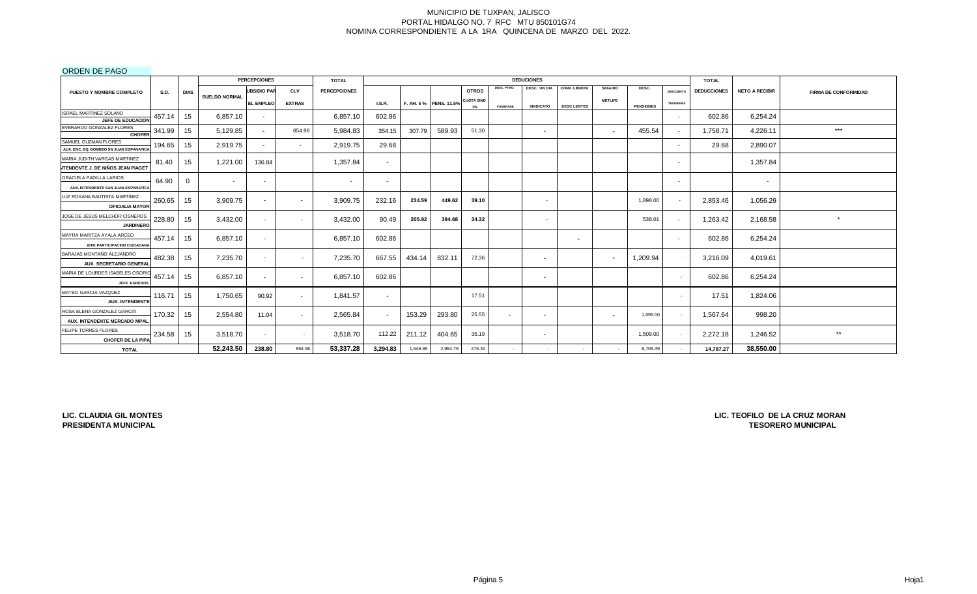ORDEN DE PAGO

|                                                                          |             |             |                      | <b>PERCEPCIONES</b>      |               | <b>TOTAL</b>             |                          |          |                       |                            |                 | <b>DEDUCIONES</b>        |                    |                          |                  |                          | <b>TOTAL</b>       |                       |                             |
|--------------------------------------------------------------------------|-------------|-------------|----------------------|--------------------------|---------------|--------------------------|--------------------------|----------|-----------------------|----------------------------|-----------------|--------------------------|--------------------|--------------------------|------------------|--------------------------|--------------------|-----------------------|-----------------------------|
| PUESTO Y NOMBRE COMPLETO                                                 | <b>S.D.</b> | <b>DIAS</b> |                      | <b>UBSIDIO PAR</b>       | <b>CLV</b>    | <b>PERCEPCIONES</b>      |                          |          |                       | <b>OTROS</b>               | DESC. PTMO.     | DESC. UN DIA             | CONV. LIBROS/      | <b>SEGURO</b>            | DESC.            | <b>DESCUENTO</b>         | <b>DEDUCCIONES</b> | <b>NETO A RECIBIR</b> | <b>FIRMA DE CONFORMIDAD</b> |
|                                                                          |             |             | <b>SUELDO NORMAL</b> | <b>EL EMPLEO</b>         | <b>EXTRAS</b> |                          | <b>I.S.R.</b>            |          | F. AH. 5% PENS. 11.5% | <b>CUOTA SIND</b><br>$1\%$ | <b>FOMEPADE</b> | <b>SINDICATO</b>         | <b>DESC LENTES</b> | <b>METLIFE</b>           | <b>PENSIONES</b> | <b>TESORERIA</b>         |                    |                       |                             |
| ISRAEL MARTINEZ SOLANO<br>JEFE DE EDUCACION                              | 457.14      | 15          | 6.857.10             | $\sim$                   |               | 6,857.10                 | 602.86                   |          |                       |                            |                 |                          |                    |                          |                  | $\overline{\phantom{a}}$ | 602.86             | 6,254.24              |                             |
| EVERARDO GONZALEZ FLORES<br><b>CHOFER</b>                                | 341.99      | 15          | 5,129.85             | $\sim$                   | 854.98        | 5,984.83                 | 354.15                   | 307.79   | 589.93                | 51.30                      |                 | $\overline{\phantom{a}}$ |                    | $\overline{\phantom{a}}$ | 455.54           |                          | 1,758.71           | 4,226.11              | ***                         |
| SAMUEL GUZMAN FLORES<br>AUX, ENC. EQ. BOMBEO SN JUAN ESPANATICA          | 194.65      | 15          | 2,919.75             | $\sim$                   | $\sim$        | 2,919.75                 | 29.68                    |          |                       |                            |                 |                          |                    |                          |                  |                          | 29.68              | 2,890.07              |                             |
| MARIA JUDITH VARGAS MARTINEZ<br><b>NTENDENTE J. DE NIÑOS JEAN PIAGET</b> | 81.40       | 15          | 1,221.00             | 136.84                   |               | 1,357.84                 | $\blacksquare$           |          |                       |                            |                 |                          |                    |                          |                  |                          |                    | 1,357.84              |                             |
| <b>GRACIELA PADILLA LARIOS</b><br>AUX, INTENDENTE SAN JUAN ESPANATICA    | 64.90       | 0           | $\sim$               | $\overline{\phantom{0}}$ |               | $\overline{\phantom{a}}$ | $\overline{\phantom{a}}$ |          |                       |                            |                 |                          |                    |                          |                  |                          |                    | $\sim$                |                             |
| LUZ ROXANA BAUTISTA MARTINEZ<br><b>OFICIALIA MAYOR</b>                   | 260.65      | 15          | 3,909.75             | $\sim$                   | $\sim$        | 3,909.75                 | 232.16                   | 234.59   | 449.62                | 39.10                      |                 | $\sim$                   |                    |                          | 1,898.00         |                          | 2,853.46           | 1,056.29              |                             |
| JOSE DE JESUS MELCHOR CISNEROS<br><b>JARDINERO</b>                       | 228.80      | 15          | 3,432.00             | $\sim$                   | $\sim$        | 3,432.00                 | 90.49                    | 205.92   | 394.68                | 34.32                      |                 | $\overline{\phantom{a}}$ |                    |                          | 538.01           |                          | 1,263.42           | 2,168.58              | $\star$                     |
| MAYRA MARITZA AYALA ARCEO<br>JEFE PARTICIPACION CIUDADANA                | 457.14      | 15          | 6,857.10             | $\sim$                   |               | 6,857.10                 | 602.86                   |          |                       |                            |                 |                          | $\sim$             |                          |                  |                          | 602.86             | 6,254.24              |                             |
| BARAJAS MONTAÑO ALEJANDRO<br>AUX. SECRETARIO GENERAL                     | 482.38      | 15          | 7,235.70             | $\sim$                   | $\sim$        | 7,235.70                 | 667.55                   | 434.14   | 832.11                | 72.36                      |                 | $\sim$                   |                    |                          | 1,209.94         |                          | 3,216.09           | 4,019.61              |                             |
| MARIA DE LOURDES ISABELES OSORI<br><b>JEFE EGRESOS</b>                   | 457.14      | 15          | 6,857.10             | $\sim$                   | $\sim$        | 6,857.10                 | 602.86                   |          |                       |                            |                 | $\overline{\phantom{a}}$ |                    |                          |                  |                          | 602.86             | 6,254.24              |                             |
| MATEO GARCIA VAZQUEZ<br><b>AUX. INTENDENTE</b>                           | 116.71      | 15          | 1,750.65             | 90.92                    | $\sim$        | 1.841.57                 | $\sim$                   |          |                       | 17.51                      |                 |                          |                    |                          |                  |                          | 17.51              | 1,824.06              |                             |
| ROSA ELENA GONZALEZ GARCIA<br>AUX. INTENDENTE MERCADO MPAL               | 170.32      | 15          | 2,554.80             | 11.04                    | $\sim$        | 2,565.84                 |                          | 153.29   | 293.80                | 25.55                      | $\sim$          |                          |                    | $\sim$                   | 1,095.00         |                          | 1,567.64           | 998.20                |                             |
| FELIPE TORRES FLORES<br><b>CHOFER DE LA PIPA</b>                         | 234.58      | 15          | 3,518.70             | $\sim$                   | $\sim$        | 3,518.70                 | 112.22                   | 211.12   | 404.65                | 35.19                      |                 | $\sim$                   |                    |                          | 1,509.00         |                          | 2,272.18           | 1,246.52              | **                          |
| <b>TOTAL</b>                                                             |             |             | 52,243.50            | 238.80                   | 854.98        | 53.337.28                | 3,294.83                 | 1,546.85 | 2,964.79              | 275.31                     |                 |                          |                    |                          | 6,705.49         |                          | 14,787.27          | 38.550.00             |                             |

**LIC. CLAUDIA GIL MONTES PRESIDENTA MUNICIPAL**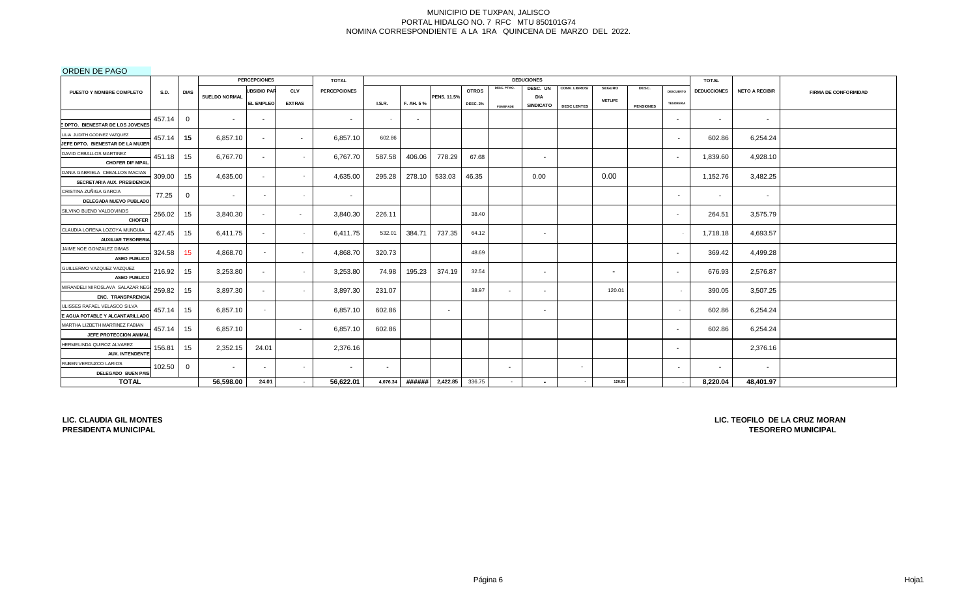## ORDEN DE PAGO

|                                                       |        |              |                      | <b>PERCEPCIONES</b> |               | <b>TOTAL</b>        |          |           |                    |                 |                          | <b>DEDUCIONES</b>        |                    |                          |                  |                          | <b>TOTAL</b>       |                       |                             |
|-------------------------------------------------------|--------|--------------|----------------------|---------------------|---------------|---------------------|----------|-----------|--------------------|-----------------|--------------------------|--------------------------|--------------------|--------------------------|------------------|--------------------------|--------------------|-----------------------|-----------------------------|
| PUESTO Y NOMBRE COMPLETO                              | S.D.   | <b>DIAS</b>  |                      | <b>UBSIDIO PAR</b>  | <b>CLV</b>    | <b>PERCEPCIONES</b> |          |           |                    | <b>OTROS</b>    | DESC. PTMO.              | DESC. UN                 | CONV. LIBROS/      | <b>SEGURO</b>            | DESC.            | <b>DESCUENTO</b>         | <b>DEDUCCIONES</b> | <b>NETO A RECIBIR</b> | <b>FIRMA DE CONFORMIDAD</b> |
|                                                       |        |              | <b>SUELDO NORMAL</b> | <b>EL EMPLEO</b>    | <b>EXTRAS</b> |                     | LS.R.    | F. AH. 5% | <b>PENS. 11.5%</b> | <b>DESC. 2%</b> |                          | DIA<br><b>SINDICATO</b>  |                    | <b>METLIFE</b>           |                  | <b>TESORERIA</b>         |                    |                       |                             |
|                                                       |        |              |                      |                     |               |                     |          |           |                    |                 | <b>FOMEPADE</b>          |                          | <b>DESC LENTES</b> |                          | <b>PENSIONES</b> |                          |                    |                       |                             |
| <b>EDPTO. BIENESTAR DE LOS JOVENES</b>                | 457.14 | $\Omega$     | $\blacksquare$       | $\sim$              |               | $\sim$              | $\sim$   | $\sim$    |                    |                 |                          |                          |                    |                          |                  | $\sim$                   | $\sim$             | $\sim$                |                             |
| LILIA JUDITH GODINEZ VAZQUEZ                          |        |              |                      |                     |               |                     |          |           |                    |                 |                          |                          |                    |                          |                  |                          |                    |                       |                             |
| JEFE DPTO. BIENESTAR DE LA MUJER                      | 457.14 | 15           | 6.857.10             |                     | $\sim$        | 6,857.10            | 602.86   |           |                    |                 |                          |                          |                    |                          |                  | $\overline{\phantom{a}}$ | 602.86             | 6,254.24              |                             |
| DAVID CEBALLOS MARTINEZ                               |        |              |                      |                     |               |                     |          |           |                    |                 |                          |                          |                    |                          |                  |                          |                    |                       |                             |
| <b>CHOFER DIF MPAL</b>                                | 451.18 | 15           | 6,767.70             | $\sim$              | $\sim$        | 6,767.70            | 587.58   | 406.06    | 778.29             | 67.68           |                          | $\overline{\phantom{a}}$ |                    |                          |                  | $\sim$                   | 1,839.60           | 4,928.10              |                             |
| DANIA GABRIELA CEBALLOS MACIAS                        | 309.00 | 15           | 4,635.00             | $\sim$              | $\sim$        | 4,635.00            | 295.28   | 278.10    | 533.03             | 46.35           |                          | 0.00                     |                    | 0.00                     |                  |                          | 1,152.76           | 3,482.25              |                             |
| SECRETARIA AUX. PRESIDENCIA                           |        |              |                      |                     |               |                     |          |           |                    |                 |                          |                          |                    |                          |                  |                          |                    |                       |                             |
| CRISTINA ZUÑIGA GARCIA                                | 77.25  | $\mathbf 0$  |                      |                     | $\sim$        | $\sim$              |          |           |                    |                 |                          |                          |                    |                          |                  | $\overline{\phantom{a}}$ | $\sim$             | $\sim$                |                             |
| DELEGADA NUEVO PUBLADO                                |        |              |                      |                     |               |                     |          |           |                    |                 |                          |                          |                    |                          |                  |                          |                    |                       |                             |
| SILVINO BUENO VALDOVINOS                              | 256.02 | 15           | 3,840.30             |                     | $\sim$        | 3,840.30            | 226.11   |           |                    | 38.40           |                          |                          |                    |                          |                  | $\sim$                   | 264.51             | 3,575.79              |                             |
| <b>CHOFER</b>                                         |        |              |                      |                     |               |                     |          |           |                    |                 |                          |                          |                    |                          |                  |                          |                    |                       |                             |
| CLAUDIA LORENA LOZOYA MUNGUIA                         | 427.45 | 15           | 6,411.75             |                     | $\sim$        | 6,411.75            | 532.01   | 384.71    | 737.35             | 64.12           |                          | . .                      |                    |                          |                  |                          | 1,718.18           | 4,693.57              |                             |
| <b>AUXILIAR TESORERIA</b><br>JAIME NOE GONZALEZ DIMAS |        |              |                      |                     |               |                     |          |           |                    |                 |                          |                          |                    |                          |                  |                          |                    |                       |                             |
| <b>ASEO PUBLICO</b>                                   | 324.58 | 15           | 4.868.70             | $\sim$              | $\sim$        | 4,868.70            | 320.73   |           |                    | 48.69           |                          |                          |                    |                          |                  | $\sim$                   | 369.42             | 4,499.28              |                             |
| GUILLERMO VAZQUEZ VAZQUEZ                             | 216.92 | 15           | 3,253.80             |                     | $\sim$        | 3,253.80            | 74.98    | 195.23    | 374.19             | 32.54           |                          |                          |                    | $\overline{\phantom{a}}$ |                  |                          | 676.93             | 2,576.87              |                             |
| <b>ASEO PUBLICO</b>                                   |        |              |                      | $\sim$              |               |                     |          |           |                    |                 |                          | $\sim$                   |                    |                          |                  | $\sim$                   |                    |                       |                             |
| MIRANDELI MIROSLAVA SALAZAR NEG                       | 259.82 | 15           | 3,897.30             | $\sim$              | $\sim$        | 3,897.30            | 231.07   |           |                    | 38.97           | $\sim$                   | $\sim$                   |                    | 120.01                   |                  |                          | 390.05             | 3,507.25              |                             |
| ENC. TRANSPARENCIA                                    |        |              |                      |                     |               |                     |          |           |                    |                 |                          |                          |                    |                          |                  |                          |                    |                       |                             |
| JLISSES RAFAEL VELASCO SILVA                          | 457.14 | 15           | 6.857.10             |                     |               | 6,857.10            | 602.86   |           | $\sim$             |                 |                          | $\sim$                   |                    |                          |                  | $\sim$                   | 602.86             | 6,254.24              |                             |
| E AGUA POTABLE Y ALCANTARILLADO                       |        |              |                      |                     |               |                     |          |           |                    |                 |                          |                          |                    |                          |                  |                          |                    |                       |                             |
| MARTHA LIZBETH MARTINEZ FABIAN                        | 457.14 | 15           | 6,857.10             |                     | $\sim$        | 6,857.10            | 602.86   |           |                    |                 |                          |                          |                    |                          |                  | $\sim$                   | 602.86             | 6,254.24              |                             |
| JEFE PROTECCION ANIMAL                                |        |              |                      |                     |               |                     |          |           |                    |                 |                          |                          |                    |                          |                  |                          |                    |                       |                             |
| HERMELINDA QUIROZ ALVAREZ<br><b>AUX. INTENDENTE</b>   | 156.81 | 15           | 2,352.15             | 24.01               |               | 2,376.16            |          |           |                    |                 |                          |                          |                    |                          |                  | $\sim$                   |                    | 2,376.16              |                             |
| RUBEN VERDUZCO LARIOS                                 |        |              |                      |                     |               |                     |          |           |                    |                 |                          |                          |                    |                          |                  |                          |                    |                       |                             |
| DELEGADO BUEN PAIS                                    | 102.50 | $\mathbf{0}$ | $\sim$               |                     | $\sim$        | $\sim$              |          |           |                    |                 | $\overline{\phantom{a}}$ |                          | $\sim$             |                          |                  | $\overline{\phantom{a}}$ | $\sim$             | $\sim$                |                             |
| <b>TOTAL</b>                                          |        |              | 56,598.00            | 24.01               | $\sim$        | 56,622.01           | 4,076.34 | ######    | 2,422.85           | 336.75          | $\sim$                   |                          |                    | 120.01                   |                  |                          | 8,220.04           | 48,401.97             |                             |

**LIC. CLAUDIA GIL MONTES PRESIDENTA MUNICIPAL**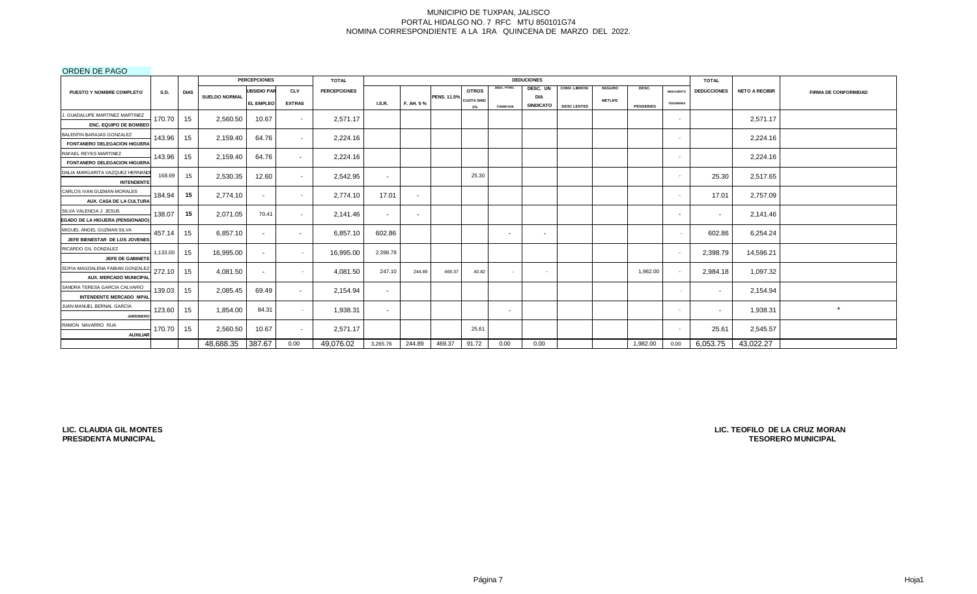## ORDEN DE PAGO

|                                  |             |                 |                      | <b>PERCEPCIONES</b>      |               | <b>TOTAL</b>        |                          |           |                    |                   |                 | <b>DEDUCIONES</b>              |                    |                |                  |                  | <b>TOTAL</b>       |                       |                             |
|----------------------------------|-------------|-----------------|----------------------|--------------------------|---------------|---------------------|--------------------------|-----------|--------------------|-------------------|-----------------|--------------------------------|--------------------|----------------|------------------|------------------|--------------------|-----------------------|-----------------------------|
| <b>PUESTO Y NOMBRE COMPLETO</b>  | <b>S.D.</b> | <b>DIAS</b>     |                      | <b>UBSIDIO PAR</b>       | <b>CLV</b>    | <b>PERCEPCIONES</b> |                          |           |                    | <b>OTROS</b>      | DESC. PTMO.     | DESC. UN                       | CONV. LIBROS/      | <b>SEGURO</b>  | DESC.            | <b>DESCUENTO</b> | <b>DEDUCCIONES</b> | <b>NETO A RECIBIR</b> | <b>FIRMA DE CONFORMIDAD</b> |
|                                  |             |                 | <b>SUELDO NORMAL</b> | <b>EL EMPLEO</b>         | <b>EXTRAS</b> |                     | I.S.R.                   | F. AH. 5% | <b>PENS. 11.5%</b> | <b>CUOTA SIND</b> | <b>FOMEPADE</b> | <b>DIA</b><br><b>SINDICATO</b> | <b>DESC LENTES</b> | <b>METLIFE</b> | <b>PENSIONES</b> | <b>TESORERIA</b> |                    |                       |                             |
| J. GUADALUPE MARTINEZ MARTINEZ   |             |                 |                      |                          |               |                     |                          |           |                    | 1%                |                 |                                |                    |                |                  |                  |                    |                       |                             |
| <b>ENC. EQUIPO DE BOMBEO</b>     | 170.70      | 15              | 2,560.50             | 10.67                    |               | 2,571.17            |                          |           |                    |                   |                 |                                |                    |                |                  |                  |                    | 2,571.17              |                             |
| BALENTIN BARAJAS GONZALEZ        |             |                 |                      |                          |               |                     |                          |           |                    |                   |                 |                                |                    |                |                  |                  |                    |                       |                             |
| FONTANERO DELEGACION HIGUERA     | 143.96      | 15 <sub>1</sub> | 2,159.40             | 64.76                    | $\sim$        | 2,224.16            |                          |           |                    |                   |                 |                                |                    |                |                  |                  |                    | 2,224.16              |                             |
| RAFAEL REYES MARTINEZ            |             |                 |                      |                          |               |                     |                          |           |                    |                   |                 |                                |                    |                |                  |                  |                    |                       |                             |
| FONTANERO DELEGACION HIGUERA     | 143.96      | 15              | 2,159.40             | 64.76                    | $\sim$        | 2,224.16            |                          |           |                    |                   |                 |                                |                    |                |                  |                  |                    | 2,224.16              |                             |
| DALIA MARGARITA VAZQUEZ HERNAND  |             |                 |                      |                          |               |                     |                          |           |                    |                   |                 |                                |                    |                |                  |                  |                    |                       |                             |
| <b>INTENDENTE</b>                | 168.69      | 15              | 2,530.35             | 12.60                    | $\sim$        | 2,542.95            | $\overline{\phantom{a}}$ |           |                    | 25.30             |                 |                                |                    |                |                  |                  | 25.30              | 2,517.65              |                             |
| CARLOS IVAN GUZMAN MORALES       |             |                 |                      |                          |               |                     |                          |           |                    |                   |                 |                                |                    |                |                  |                  |                    |                       |                             |
| AUX. CASA DE LA CULTURA          | 184.94      | 15              | 2.774.10             | $\sim$                   | $\sim$        | 2,774.10            | 17.01                    | $\sim$    |                    |                   |                 |                                |                    |                |                  |                  | 17.01              | 2,757.09              |                             |
| SILVA VALENCIA J JESUS           | 138.07      | 15              | 2,071.05             | 70.41                    | $\sim$        |                     |                          |           |                    |                   |                 |                                |                    |                |                  |                  |                    |                       |                             |
| EGADO DE LA HIGUERA (PENSIONADO) |             |                 |                      |                          |               | 2,141.46            | $\sim$                   | $\sim$    |                    |                   |                 |                                |                    |                |                  | $\sim$           | $\sim$             | 2,141.46              |                             |
| MIGUEL ANGEL GUZMAN SILVA        | 457.14      | 15              | 6.857.10             | $\overline{\phantom{a}}$ | $\sim$        | 6,857.10            | 602.86                   |           |                    |                   | $\sim$          | . .                            |                    |                |                  |                  | 602.86             | 6,254.24              |                             |
| JEFE BIENESTAR DE LOS JOVENES    |             |                 |                      |                          |               |                     |                          |           |                    |                   |                 |                                |                    |                |                  |                  |                    |                       |                             |
| RICARDO GIL GONZALEZ             | 1,133.00    | 15              | 16,995.00            | $\sim$                   | $\sim$        | 16,995.00           | 2,398.79                 |           |                    |                   |                 |                                |                    |                |                  |                  | 2,398.79           | 14,596.21             |                             |
| JEFE DE GABINETE                 |             |                 |                      |                          |               |                     |                          |           |                    |                   |                 |                                |                    |                |                  |                  |                    |                       |                             |
| SOFIA MAGDALENA FABIAN GONZALEZ  | 272.10      | 15              | 4,081.50             | $\sim$                   | $\sim$        | 4,081.50            | 247.10                   | 244.89    | 469.37             | 40.82             | $\sim$          | $\sim$                         |                    |                | 1,982.00         |                  | 2,984.18           | 1,097.32              |                             |
| AUX. MERCADO MUNICIPAL           |             |                 |                      |                          |               |                     |                          |           |                    |                   |                 |                                |                    |                |                  |                  |                    |                       |                             |
| SANDRA TERESA GARCIA CALVARIO    | 139.03      | 15              | 2,085.45             | 69.49                    | $\sim$        | 2,154.94            | $\sim$                   |           |                    |                   |                 |                                |                    |                |                  |                  | $\sim$             | 2,154.94              |                             |
| INTENDENTE MERCADO MPAL          |             |                 |                      |                          |               |                     |                          |           |                    |                   |                 |                                |                    |                |                  |                  |                    |                       |                             |
| JUAN MANUEL BERNAL GARCIA        | 123.60      | 15              | 1,854.00             | 84.31                    | $\sim$        | 1,938.31            | $\overline{\phantom{a}}$ |           |                    |                   | $\sim$          |                                |                    |                |                  |                  | $\sim$             | 1,938.31              | $\star$                     |
| <b>JARDINERC</b>                 |             |                 |                      |                          |               |                     |                          |           |                    |                   |                 |                                |                    |                |                  |                  |                    |                       |                             |
| RAMON NAVARRO RUA                | 170.70      | 15              | 2,560.50             | 10.67                    | $\sim$        | 2,571.17            |                          |           |                    | 25.61             |                 |                                |                    |                |                  |                  | 25.61              | 2,545.57              |                             |
| <b>AUXILIAR</b>                  |             |                 |                      |                          |               |                     |                          |           |                    |                   |                 |                                |                    |                |                  |                  |                    |                       |                             |
|                                  |             |                 | 48,688.35            | 387.67                   | 0.00          | 49,076.02           | 3,265.76                 | 244.89    | 469.37             | 91.72             | 0.00            | 0.00                           |                    |                | 1,982.00         | 0.00             | 6,053.75           | 43,022.27             |                             |

**LIC. CLAUDIA GIL MONTES PRESIDENTA MUNICIPAL**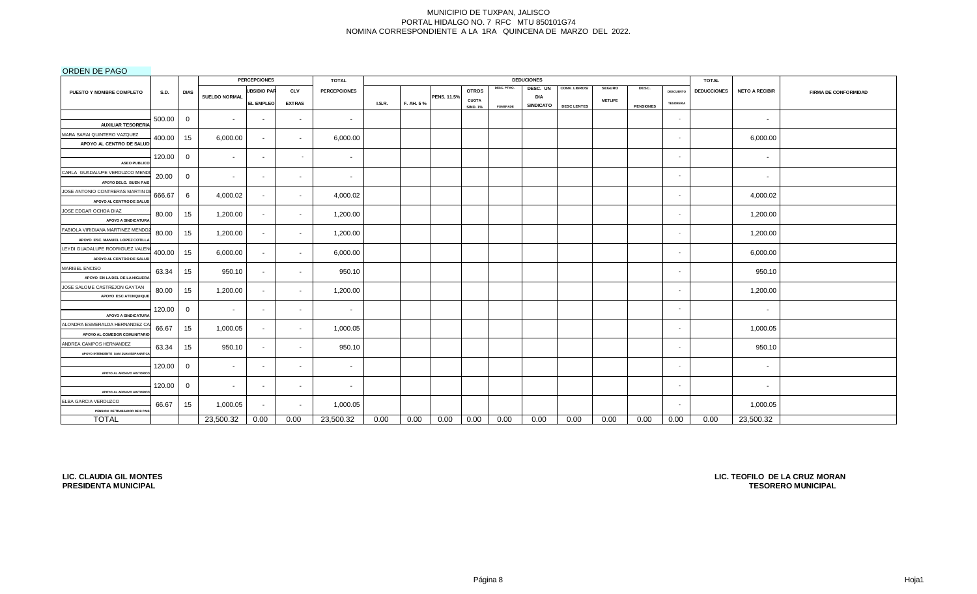## ORDEN DE PAGO

|                                                                      |             |              |                          | <b>PERCEPCIONES</b> |               | <b>TOTAL</b>        |               |           |             |                 |                 | <b>DEDUCIONES</b> |                    |                |                  |                  | <b>TOTAL</b>       |                       |                             |
|----------------------------------------------------------------------|-------------|--------------|--------------------------|---------------------|---------------|---------------------|---------------|-----------|-------------|-----------------|-----------------|-------------------|--------------------|----------------|------------------|------------------|--------------------|-----------------------|-----------------------------|
| PUESTO Y NOMBRE COMPLETO                                             | <b>S.D.</b> | <b>DIAS</b>  |                          | <b>UBSIDIO PAR</b>  | <b>CLV</b>    | <b>PERCEPCIONES</b> |               |           |             | <b>OTROS</b>    | DESC. PTMO.     | DESC. UN          | CONV. LIBROS/      | <b>SEGURO</b>  | DESC.            | <b>DESCUENTO</b> | <b>DEDUCCIONES</b> | <b>NETO A RECIBIR</b> | <b>FIRMA DE CONFORMIDAD</b> |
|                                                                      |             |              | <b>SUELDO NORMAL</b>     | <b>EL EMPLEO</b>    | <b>EXTRAS</b> |                     | <b>I.S.R.</b> | F. AH. 5% | PENS. 11.5% | <b>CUOTA</b>    |                 | <b>DIA</b>        |                    | <b>METLIFE</b> |                  | <b>TESORERIA</b> |                    |                       |                             |
|                                                                      |             |              |                          |                     |               |                     |               |           |             | <b>SIND. 1%</b> | <b>FOMEPADE</b> | SINDICATO         | <b>DESC LENTES</b> |                | <b>PENSIONES</b> |                  |                    |                       |                             |
| <b>AUXILIAR TESORERIA</b>                                            | 500.00      | 0            | $\overline{\phantom{a}}$ | $\sim$              | $\sim$        | $\sim$              |               |           |             |                 |                 |                   |                    |                |                  | $\sim$           |                    | $\sim$                |                             |
| MARA SARAI QUINTERO VAZQUEZ<br>APOYO AL CENTRO DE SALUD              | 400.00      | 15           | 6,000.00                 | $\sim$              | $\sim$        | 6,000.00            |               |           |             |                 |                 |                   |                    |                |                  | $\sim$           |                    | 6,000.00              |                             |
| <b>ASEO PUBLICO</b>                                                  | 120.00      | $\mathbf{0}$ | $\overline{\phantom{a}}$ | $\sim$              | $\sim$        | $\sim$              |               |           |             |                 |                 |                   |                    |                |                  | $\sim$           |                    | $\sim$                |                             |
| CARLA GUADALUPE VERDUZCO MEND<br>APOYO DELG. BUEN PAIS               | 20.00       | $\mathbf{0}$ | $\sim$                   | $\sim$              | $\sim$        | $\sim$              |               |           |             |                 |                 |                   |                    |                |                  | $\sim$           |                    | $\sim$                |                             |
| JOSE ANTONIO CONTRERAS MARTIN D<br>APOYO AL CENTRO DE SALUD          | 666.67      | 6            | 4,000.02                 | $\sim$              | $\sim$        | 4,000.02            |               |           |             |                 |                 |                   |                    |                |                  | $\sim$           |                    | 4,000.02              |                             |
| JOSE EDGAR OCHOA DIAZ<br><b>APOYO A SINDICATURA</b>                  | 80.00       | 15           | 1,200.00                 | $\sim$              | $\sim$        | 1,200.00            |               |           |             |                 |                 |                   |                    |                |                  | $\sim$           |                    | 1,200.00              |                             |
| FABIOLA VIRIDIANA MARTINEZ MENDOZ<br>APOYO ESC. MANUEL LOPEZ COTILL/ | 80.00       | 15           | 1,200.00                 | $\sim$              | $\sim$        | 1,200.00            |               |           |             |                 |                 |                   |                    |                |                  | $\sim$           |                    | 1,200.00              |                             |
| LEYDI GUADALUPE RODRIGUEZ VALEN<br>APOYO AL CENTRO DE SALUD          | 400.00      | 15           | 6,000.00                 | $\sim$              | $\sim$        | 6,000.00            |               |           |             |                 |                 |                   |                    |                |                  | ٠                |                    | 6,000.00              |                             |
| MARIBEL ENCISO<br>APOYO EN LA DEL DE LA HIGUERA                      | 63.34       | 15           | 950.10                   | $\sim$              | $\sim$        | 950.10              |               |           |             |                 |                 |                   |                    |                |                  | $\sim$           |                    | 950.10                |                             |
| JOSE SALOME CASTREJON GAYTAN<br>APOYO ESC ATENQUIQUE                 | 80.00       | 15           | 1,200.00                 | $\sim$              | $\sim$        | 1,200.00            |               |           |             |                 |                 |                   |                    |                |                  | $\sim$           |                    | 1,200.00              |                             |
| <b>APOYO A SINDICATURA</b>                                           | 120.00      | 0            | $\sim$                   | $\sim$              | $\sim$        | $\sim$              |               |           |             |                 |                 |                   |                    |                |                  | $\sim$           |                    | $\sim$                |                             |
| ALONDRA ESMERALDA HERNANDEZ CA<br>APOYO AL COMEDOR COMUNITARIO       | 66.67       | 15           | 1,000.05                 | $\sim$              | $\sim$        | 1,000.05            |               |           |             |                 |                 |                   |                    |                |                  | $\sim$           |                    | 1,000.05              |                             |
| ANDREA CAMPOS HERNANDEZ<br>APOYO INTENDENTE SAM JUAN ESPANATICA      | 63.34       | 15           | 950.10                   | $\sim$              | $\sim$        | 950.10              |               |           |             |                 |                 |                   |                    |                |                  | $\sim$           |                    | 950.10                |                             |
| APOYO AL ARCHIVO HISTORIC                                            | 120.00      | $\mathbf{0}$ | $\sim$                   | $\sim$              | $\sim$        | $\sim$              |               |           |             |                 |                 |                   |                    |                |                  | $\sim$           |                    | $\sim$                |                             |
| APOYO AL ARCHIVO HISTORICO                                           | 120.00      | $\mathbf{0}$ | $\sim$                   | $\sim$              | $\sim$        | $\sim$              |               |           |             |                 |                 |                   |                    |                |                  | $\sim$           |                    | $\sim$                |                             |
| ELBA GARCIA VERDUZCO<br>PENSION DE TRABJADOR DE B PAIS               | 66.67       | 15           | 1,000.05                 | $\sim$              | $\sim$        | 1,000.05            |               |           |             |                 |                 |                   |                    |                |                  | $\sim$           |                    | 1,000.05              |                             |
| <b>TOTAL</b>                                                         |             |              | 23,500.32                | 0.00                | 0.00          | 23,500.32           | 0.00          | 0.00      | 0.00        | 0.00            | 0.00            | 0.00              | 0.00               | 0.00           | 0.00             | 0.00             | 0.00               | 23,500.32             |                             |

**LIC. CLAUDIA GIL MONTES PRESIDENTA MUNICIPAL**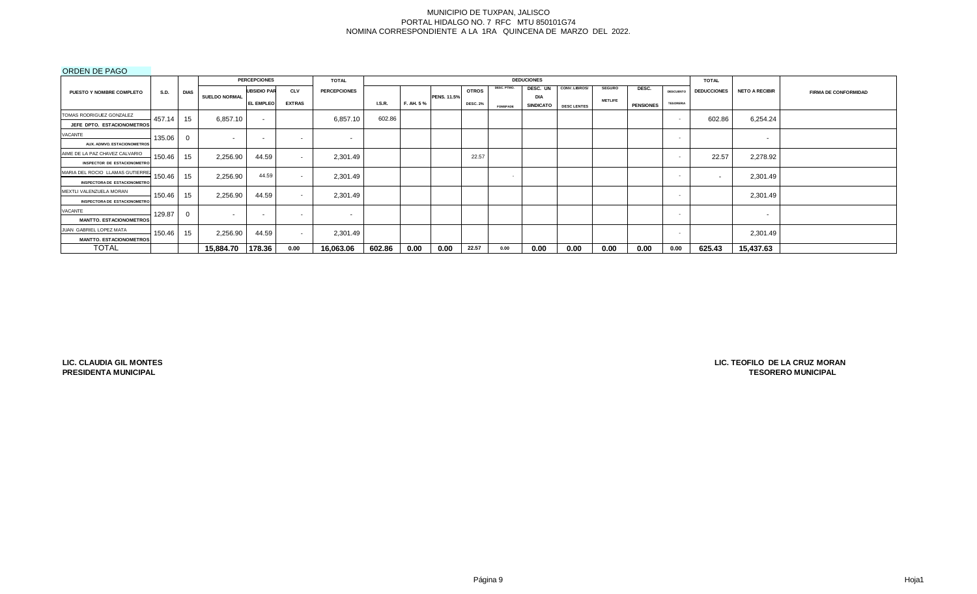## ORDEN DE PAGO

|                                     |             |             |                      | <b>PERCEPCIONES</b>      |               | <b>TOTAL</b>             |        |           |                    |                 |                 | <b>DEDUCIONES</b>       |                    |                |                  |                          | <b>TOTAL</b>       |                       |                             |
|-------------------------------------|-------------|-------------|----------------------|--------------------------|---------------|--------------------------|--------|-----------|--------------------|-----------------|-----------------|-------------------------|--------------------|----------------|------------------|--------------------------|--------------------|-----------------------|-----------------------------|
| PUESTO Y NOMBRE COMPLETO            | <b>S.D.</b> | <b>DIAS</b> |                      | <b>UBSIDIO PAR</b>       | <b>CLV</b>    | <b>PERCEPCIONES</b>      |        |           |                    | <b>OTROS</b>    | DESC. PTMO.     | DESC. UN                | CONV. LIBROS/      | <b>SEGURO</b>  | DESC.            | <b>DESCUENTO</b>         | <b>DEDUCCIONES</b> | <b>NETO A RECIBIR</b> | <b>FIRMA DE CONFORMIDAD</b> |
|                                     |             |             | <b>SUELDO NORMAL</b> | <b>EL EMPLEO</b>         | <b>EXTRAS</b> |                          | L.S.R. | F. AH. 5% | <b>PENS. 11.5%</b> | <b>DESC. 2%</b> | <b>FOMEPADE</b> | DIA<br><b>SINDICATO</b> | <b>DESC LENTES</b> | <b>METLIFE</b> | <b>PENSIONES</b> | <b>TESORERIA</b>         |                    |                       |                             |
| TOMAS RODRIGUEZ GONZALEZ            | 457.14      | 15          | 6,857.10             |                          |               | 6,857.10                 | 602.86 |           |                    |                 |                 |                         |                    |                |                  | $\sim$                   | 602.86             | 6,254.24              |                             |
| JEFE DPTO. ESTACIONOMETROS          |             |             |                      | $\sim$                   |               |                          |        |           |                    |                 |                 |                         |                    |                |                  |                          |                    |                       |                             |
| VACANTE                             | 135.06      |             | . .                  | $\overline{\phantom{a}}$ | $\sim$        | $\overline{\phantom{a}}$ |        |           |                    |                 |                 |                         |                    |                |                  | . .                      |                    | $\sim$                |                             |
| AUX. ADMVO. ESTACIONOMETROS         |             |             |                      |                          |               |                          |        |           |                    |                 |                 |                         |                    |                |                  |                          |                    |                       |                             |
| AIME DE LA PAZ CHAVEZ CALVARIO      | 150.46      | 15          | 2,256.90             | 44.59                    | $\sim$        | 2,301.49                 |        |           |                    | 22.57           |                 |                         |                    |                |                  | $\overline{\phantom{a}}$ | 22.57              | 2,278.92              |                             |
| <b>INSPECTOR DE ESTACIONOMETRO</b>  |             |             |                      |                          |               |                          |        |           |                    |                 |                 |                         |                    |                |                  |                          |                    |                       |                             |
| MARIA DEL ROCIO LLAMAS GUTIERREZ    | 150.46      | 15          | 2,256.90             | 44.59                    | $\sim$        | 2,301.49                 |        |           |                    |                 | $\sim$          |                         |                    |                |                  |                          |                    | 2,301.49              |                             |
| <b>INSPECTORA DE ESTACIONOMETRO</b> |             |             |                      |                          |               |                          |        |           |                    |                 |                 |                         |                    |                |                  |                          |                    |                       |                             |
| MEXTLI VALENZUELA MORAN             | 150.46      | 15          | 2,256.90             | 44.59                    | $\sim$        | 2,301.49                 |        |           |                    |                 |                 |                         |                    |                |                  | . .                      |                    | 2,301.49              |                             |
| <b>INSPECTORA DE ESTACIONOMETRO</b> |             |             |                      |                          |               |                          |        |           |                    |                 |                 |                         |                    |                |                  |                          |                    |                       |                             |
| VACANTE                             | 129.87      |             | . .                  | $\overline{\phantom{a}}$ | $\sim$        | $\sim$                   |        |           |                    |                 |                 |                         |                    |                |                  | $\sim$                   |                    | $\sim$                |                             |
| <b>MANTTO. ESTACIONOMETROS</b>      |             |             |                      |                          |               |                          |        |           |                    |                 |                 |                         |                    |                |                  |                          |                    |                       |                             |
| JUAN GABRIEL LOPEZ MATA             | 150.46      | 15          | 2,256.90             | 44.59                    | $\sim$        | 2,301.49                 |        |           |                    |                 |                 |                         |                    |                |                  | <b>COL</b>               |                    | 2,301.49              |                             |
| <b>MANTTO. ESTACIONOMETROS</b>      |             |             |                      |                          |               |                          |        |           |                    |                 |                 |                         |                    |                |                  |                          |                    |                       |                             |
| <b>TOTAL</b>                        |             |             | 15,884.70            | 178.36                   | 0.00          | 16,063.06                | 602.86 | 0.00      | 0.00               | 22.57           | 0.00            | 0.00                    | 0.00               | 0.00           | 0.00             | 0.00                     | 625.43             | 15,437.63             |                             |

**LIC. CLAUDIA GIL MONTES PRESIDENTA MUNICIPAL**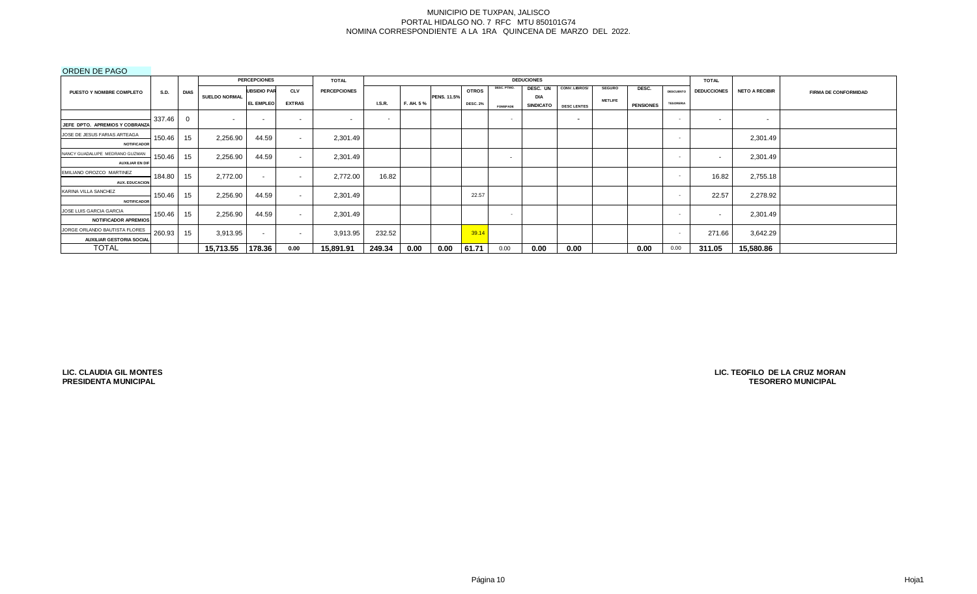## ORDEN DE PAGO

|                                 |             |             |                      | <b>PERCEPCIONES</b>      |               | <b>TOTAL</b>        |                          |           |                    |                 |                          | <b>DEDUCIONES</b>              |                          |                |                  |                  | <b>TOTAL</b>             |                       |                             |
|---------------------------------|-------------|-------------|----------------------|--------------------------|---------------|---------------------|--------------------------|-----------|--------------------|-----------------|--------------------------|--------------------------------|--------------------------|----------------|------------------|------------------|--------------------------|-----------------------|-----------------------------|
| <b>PUESTO Y NOMBRE COMPLETO</b> | <b>S.D.</b> | <b>DIAS</b> |                      | <b>UBSIDIO PAR</b>       | <b>CLV</b>    | <b>PERCEPCIONES</b> |                          |           |                    | <b>OTROS</b>    | DESC. PTMO.              | DESC. UN                       | CONV. LIBROS/            | <b>SEGURO</b>  | DESC.            | <b>DESCUENTO</b> | <b>DEDUCCIONES</b>       | <b>NETO A RECIBIR</b> | <b>FIRMA DE CONFORMIDAD</b> |
|                                 |             |             | <b>SUELDO NORMAL</b> | <b>EL EMPLEO</b>         | <b>EXTRAS</b> |                     | <b>I.S.R.</b>            | F. AH. 5% | <b>PENS. 11.5%</b> | <b>DESC. 2%</b> | <b>FOMEPADE</b>          | <b>DIA</b><br><b>SINDICATO</b> | <b>DESC LENTES</b>       | <b>METLIFE</b> | <b>PENSIONES</b> | <b>TESORERIA</b> |                          |                       |                             |
|                                 | 337.46      |             |                      |                          |               |                     | $\overline{\phantom{0}}$ |           |                    |                 | $\sim$                   |                                | $\overline{\phantom{a}}$ |                |                  | $\sim$           | $\sim$                   |                       |                             |
| JEFE DPTO. APREMIOS Y COBRANZA  |             |             | $\sim$               | $\overline{\phantom{0}}$ | $\sim$        | $\sim$              |                          |           |                    |                 |                          |                                |                          |                |                  |                  |                          | $\sim$                |                             |
| JOSE DE JESUS FARIAS ARTEAGA    | 150.46      | 15          | 2,256.90             | 44.59                    | $\sim$        | 2,301.49            |                          |           |                    |                 |                          |                                |                          |                |                  |                  |                          | 2,301.49              |                             |
| <b>NOTIFICADOR</b>              |             |             |                      |                          |               |                     |                          |           |                    |                 |                          |                                |                          |                |                  |                  |                          |                       |                             |
| NANCY GUADALUPE MEDRANO GUZMAN  | 150.46      | 15          | 2,256.90             | 44.59                    | $\sim$        | 2,301.49            |                          |           |                    |                 | $\overline{\phantom{a}}$ |                                |                          |                |                  | . .              | $\overline{\phantom{a}}$ | 2,301.49              |                             |
| <b>AUXILIAR EN DIR</b>          |             |             |                      |                          |               |                     |                          |           |                    |                 |                          |                                |                          |                |                  |                  |                          |                       |                             |
| EMILIANO OROZCO MARTINEZ        | 184.80      | 15          | 2,772.00             | $\sim$                   | $\sim$        | 2,772.00            | 16.82                    |           |                    |                 |                          |                                |                          |                |                  |                  | 16.82                    | 2,755.18              |                             |
| <b>AUX. EDUCACION</b>           |             |             |                      |                          |               |                     |                          |           |                    |                 |                          |                                |                          |                |                  |                  |                          |                       |                             |
| KARINA VILLA SANCHEZ            | 150.46      | 15          | 2,256.90             | 44.59                    | $\sim$        | 2,301.49            |                          |           |                    | 22.57           |                          |                                |                          |                |                  |                  | 22.57                    | 2,278.92              |                             |
| <b>NOTIFICADOR</b>              |             |             |                      |                          |               |                     |                          |           |                    |                 |                          |                                |                          |                |                  |                  |                          |                       |                             |
| JOSE LUIS GARCIA GARCIA         | 150.46      | 15          | 2,256.90             | 44.59                    | $\sim$        | 2,301.49            |                          |           |                    |                 | $\sim$                   |                                |                          |                |                  | $\sim$           |                          | 2,301.49              |                             |
| <b>NOTIFICADOR APREMIOS</b>     |             |             |                      |                          |               |                     |                          |           |                    |                 |                          |                                |                          |                |                  |                  |                          |                       |                             |
| JORGE ORLANDO BAUTISTA FLORES   | 260.93      | 15          | 3,913.95             | $\sim$                   | $\sim$        | 3,913.95            | 232.52                   |           |                    | 39.14           |                          |                                |                          |                |                  | <b>COL</b>       | 271.66                   | 3,642.29              |                             |
| <b>AUXILIAR GESTORIA SOCIAL</b> |             |             |                      |                          |               |                     |                          |           |                    |                 |                          |                                |                          |                |                  |                  |                          |                       |                             |
| <b>TOTAL</b>                    |             |             | 15,713.55            | 178.36                   | 0.00          | 15,891.91           | 249.34                   | 0.00      | 0.00               | 61.71           | 0.00                     | 0.00                           | 0.00                     |                | 0.00             | 0.00             | 311.05                   | 15,580.86             |                             |

**LIC. CLAUDIA GIL MONTES PRESIDENTA MUNICIPAL**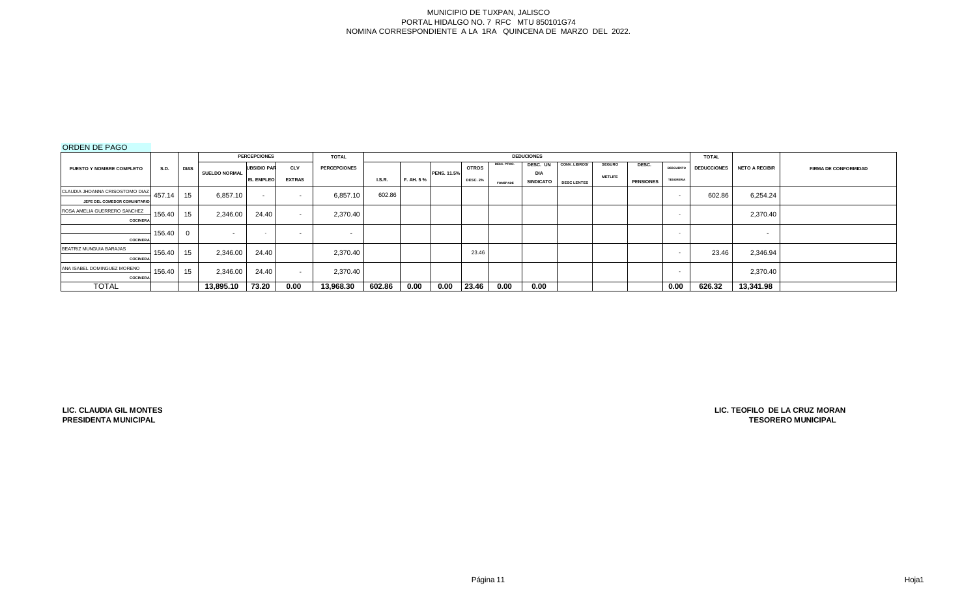# ORDEN DE PAGO

|                                 |             |      |                      | <b>PERCEPCIONES</b> |               | <b>TOTAL</b>        |               |           |                    |                 |                 | <b>DEDUCIONES</b> |                      |                |                  |                  | <b>TOTAL</b>       |                          |                             |
|---------------------------------|-------------|------|----------------------|---------------------|---------------|---------------------|---------------|-----------|--------------------|-----------------|-----------------|-------------------|----------------------|----------------|------------------|------------------|--------------------|--------------------------|-----------------------------|
| PUESTO Y NOMBRE COMPLETO        | <b>S.D.</b> | DIAS |                      | <b>UBSIDIO PAR</b>  | <b>CLV</b>    | <b>PERCEPCIONES</b> |               |           |                    | <b>OTROS</b>    | DESC. PTMO.     | DESC. UN          | <b>CONV. LIBROS/</b> | <b>SEGURO</b>  | DESC.            | <b>DESCUENTO</b> | <b>DEDUCCIONES</b> | <b>NETO A RECIBIR</b>    | <b>FIRMA DE CONFORMIDAD</b> |
|                                 |             |      | <b>SUELDO NORMAL</b> | L EMPLEO            | <b>EXTRAS</b> |                     | <b>I.S.R.</b> | F. AH. 5% | <b>PENS. 11.5%</b> | <b>DESC. 2%</b> |                 | <b>DIA</b>        |                      | <b>METLIFE</b> |                  | <b>TESORERIA</b> |                    |                          |                             |
|                                 |             |      |                      |                     |               |                     |               |           |                    |                 | <b>FOMEPADE</b> | <b>SINDICATO</b>  | <b>DESC LENTES</b>   |                | <b>PENSIONES</b> |                  |                    |                          |                             |
| CLAUDIA JHOANNA CRISOSTOMO DIAZ | 457.14      | 15   | 6.857.10             | $\sim$              | . .           | 6,857.10            | 602.86        |           |                    |                 |                 |                   |                      |                |                  | . .              | 602.86             | 6,254.24                 |                             |
| JEFE DEL COMEDOR COMUNITARIO    |             |      |                      |                     |               |                     |               |           |                    |                 |                 |                   |                      |                |                  |                  |                    |                          |                             |
| ROSA AMELIA GUERRERO SANCHEZ    |             |      |                      |                     |               |                     |               |           |                    |                 |                 |                   |                      |                |                  |                  |                    |                          |                             |
| <b>COCINERA</b>                 | 156.40      | 15   | 2,346.00             | 24.40               | . .           | 2,370.40            |               |           |                    |                 |                 |                   |                      |                |                  |                  |                    | 2,370.40                 |                             |
|                                 | 156.40      |      | $\sim$               |                     | . .           | $\sim$              |               |           |                    |                 |                 |                   |                      |                |                  |                  |                    | $\overline{\phantom{a}}$ |                             |
| <b>COCINERA</b>                 |             |      |                      |                     |               |                     |               |           |                    |                 |                 |                   |                      |                |                  |                  |                    |                          |                             |
| BEATRIZ MUNGUIA BARAJAS         | 156.40      | 15   | 2,346.00             | 24.40               |               | 2,370.40            |               |           |                    | 23.46           |                 |                   |                      |                |                  | . .              | 23.46              | 2,346.94                 |                             |
| <b>COCINERA</b>                 |             |      |                      |                     |               |                     |               |           |                    |                 |                 |                   |                      |                |                  |                  |                    |                          |                             |
| ANA ISABEL DOMINGUEZ MORENO     | 156.40      | 15   | 2,346.00             | 24.40               |               | 2,370.40            |               |           |                    |                 |                 |                   |                      |                |                  |                  |                    | 2,370.40                 |                             |
| <b>COCINERA</b>                 |             |      |                      |                     | $\sim$        |                     |               |           |                    |                 |                 |                   |                      |                |                  |                  |                    |                          |                             |
| <b>TOTAL</b>                    |             |      | 13,895.10            | 73.20               | 0.00          | 13,968.30           | 602.86        | 0.00      |                    | $0.00$ 23.46    | 0.00            | 0.00              |                      |                |                  | 0.00             | 626.32             | 13,341.98                |                             |

**LIC. CLAUDIA GIL MONTES**

**PRESIDENTA MUNICIPAL TESORERO MUNICIPAL LIC. TEOFILO DE LA CRUZ MORAN**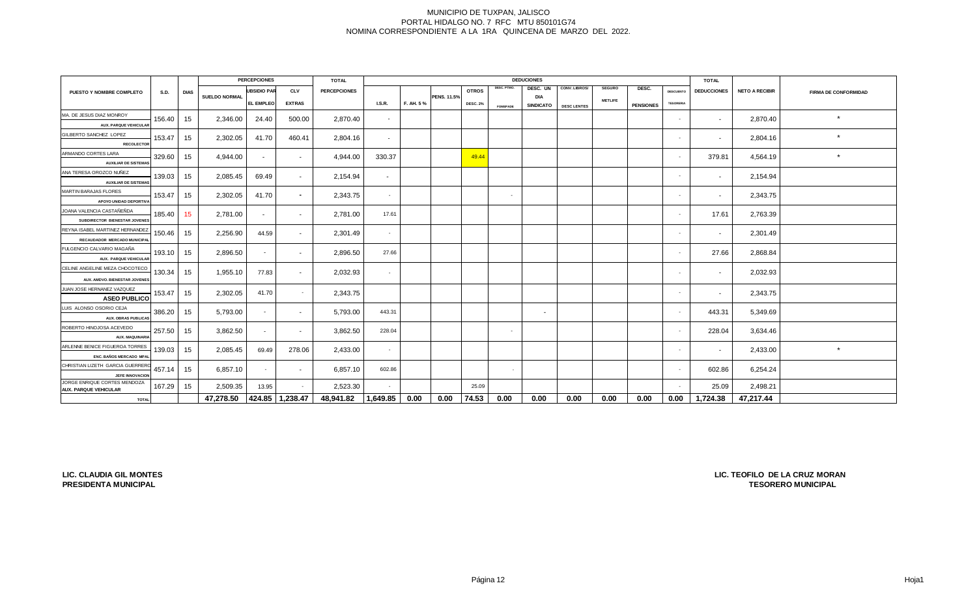|                                                          |        |             |               | <b>PERCEPCIONES</b> |                          | <b>TOTAL</b>        |                          |           |                    |                 |                 | <b>DEDUCIONES</b>              |                    |                |                  |                  | <b>TOTAL</b>       |                       |                             |
|----------------------------------------------------------|--------|-------------|---------------|---------------------|--------------------------|---------------------|--------------------------|-----------|--------------------|-----------------|-----------------|--------------------------------|--------------------|----------------|------------------|------------------|--------------------|-----------------------|-----------------------------|
| <b>PUESTO Y NOMBRE COMPLETO</b>                          | S.D.   | <b>DIAS</b> |               | <b>UBSIDIO PAR</b>  | <b>CLV</b>               | <b>PERCEPCIONES</b> |                          |           |                    | <b>OTROS</b>    | DESC. PTMO.     | DESC. UN                       | CONV. LIBROS/      | <b>SEGURO</b>  | DESC.            | <b>DESCUENTO</b> | <b>DEDUCCIONES</b> | <b>NETO A RECIBIR</b> | <b>FIRMA DE CONFORMIDAD</b> |
|                                                          |        |             | SUELDO NORMAL | <b>EL EMPLEO</b>    | <b>EXTRAS</b>            |                     | <b>I.S.R.</b>            | F. AH. 5% | <b>PENS. 11.5%</b> | <b>DESC. 2%</b> | <b>FOMEPADE</b> | <b>DIA</b><br><b>SINDICATO</b> | <b>DESC LENTES</b> | <b>METLIFE</b> | <b>PENSIONES</b> | <b>TESORERIA</b> |                    |                       |                             |
| MA. DE JESUS DIAZ MONROY                                 |        |             |               |                     |                          |                     |                          |           |                    |                 |                 |                                |                    |                |                  |                  |                    |                       |                             |
| <b>AUX. PARQUE VEHICULAR</b>                             | 156.40 | 15          | 2,346.00      | 24.40               | 500.00                   | 2,870.40            | $\overline{\phantom{a}}$ |           |                    |                 |                 |                                |                    |                |                  | $\sim$           | $\sim$             | 2,870.40              | $\star$                     |
| GILBERTO SANCHEZ LOPEZ                                   |        |             |               |                     |                          |                     |                          |           |                    |                 |                 |                                |                    |                |                  |                  |                    |                       | $\star$                     |
| <b>RECOLECTOR</b>                                        | 153.47 | 15          | 2,302.05      | 41.70               | 460.41                   | 2,804.16            | $\sim$                   |           |                    |                 |                 |                                |                    |                |                  | $\sim$           | $\sim$             | 2,804.16              |                             |
| ARMANDO CORTES LARA                                      | 329.60 | 15          | 4,944.00      | $\sim$              | $\sim$                   | 4,944.00            | 330.37                   |           |                    | 49.44           |                 |                                |                    |                |                  | $\sim$           | 379.81             | 4,564.19              | $\star$                     |
| <b>AUXILIAR DE SISTEMAS</b>                              |        |             |               |                     |                          |                     |                          |           |                    |                 |                 |                                |                    |                |                  |                  |                    |                       |                             |
| ANA TERESA OROZCO NUÑEZ                                  | 139.03 | 15          | 2,085.45      | 69.49               | $\sim$                   | 2,154.94            | $\sim$                   |           |                    |                 |                 |                                |                    |                |                  |                  | $\sim$             | 2,154.94              |                             |
| <b>AUXILIAR DE SISTEMAS</b>                              |        |             |               |                     |                          |                     |                          |           |                    |                 |                 |                                |                    |                |                  |                  |                    |                       |                             |
| <b>MARTIN BARAJAS FLORES</b>                             | 153.47 | 15          | 2,302.05      | 41.70               | $\overline{\phantom{0}}$ | 2,343.75            | $\sim$                   |           |                    |                 | $\sim$          |                                |                    |                |                  | <b>.</b>         |                    | 2,343.75              |                             |
| APOYO UNIDAD DEPORTIVA                                   |        |             |               |                     |                          |                     |                          |           |                    |                 |                 |                                |                    |                |                  |                  |                    |                       |                             |
| JOANA VALENCIA CASTAÑEÑDA                                | 185.40 | 15          | 2,781.00      | $\sim$              | $\sim$                   | 2,781.00            | 17.61                    |           |                    |                 |                 |                                |                    |                |                  | $\sim$           | 17.61              | 2,763.39              |                             |
| SUBDIRECTOR BIENESTAR JOVENES                            |        |             |               |                     |                          |                     |                          |           |                    |                 |                 |                                |                    |                |                  |                  |                    |                       |                             |
| REYNA ISABEL MARTINEZ HERNANDEZ                          | 150.46 | 15          | 2,256.90      | 44.59               | $\sim$                   | 2,301.49            |                          |           |                    |                 |                 |                                |                    |                |                  |                  | $\sim$             | 2,301.49              |                             |
| RECAUDADOR MERCADO MUNICIPA<br>FULGENCIO CALVARIO MAGAÑA |        |             |               |                     |                          |                     |                          |           |                    |                 |                 |                                |                    |                |                  |                  |                    |                       |                             |
| <b>AUX. PARQUE VEHICULAR</b>                             | 193.10 | 15          | 2,896.50      | $\sim$              | $\sim$                   | 2,896.50            | 27.66                    |           |                    |                 |                 |                                |                    |                |                  | $\sim$           | 27.66              | 2,868.84              |                             |
| CELINE ANGELINE MEZA CHOCOTECO                           |        |             |               |                     |                          |                     |                          |           |                    |                 |                 |                                |                    |                |                  |                  |                    |                       |                             |
| AUX, AMDVO, BIENESTAR JOVENES                            | 130.34 | 15          | 1,955.10      | 77.83               | $\sim$                   | 2,032.93            |                          |           |                    |                 |                 |                                |                    |                |                  |                  | $\sim$             | 2,032.93              |                             |
| JUAN JOSE HERNANEZ VAZQUEZ                               |        |             |               |                     |                          |                     |                          |           |                    |                 |                 |                                |                    |                |                  |                  |                    |                       |                             |
| <b>ASEO PUBLICO</b>                                      | 153.47 | 15          | 2,302.05      | 41.70               | $\sim$                   | 2,343.75            |                          |           |                    |                 |                 |                                |                    |                |                  | ٠                |                    | 2,343.75              |                             |
| LUIS ALONSO OSORIO CEJA                                  | 386.20 | 15          | 5,793.00      | $\sim$              | $\sim$                   | 5,793.00            | 443.31                   |           |                    |                 |                 | $\sim$                         |                    |                |                  | $\sim$           | 443.31             | 5,349.69              |                             |
| <b>AUX. OBRAS PUBLICAS</b>                               |        |             |               |                     |                          |                     |                          |           |                    |                 |                 |                                |                    |                |                  |                  |                    |                       |                             |
| ROBERTO HINOJOSA ACEVEDO                                 | 257.50 | 15          | 3,862.50      | $\sim$              | $\sim$                   | 3,862.50            | 228.04                   |           |                    |                 | . .             |                                |                    |                |                  | $\sim$           | 228.04             | 3,634.46              |                             |
| <b>AUX. MAQUINARIA</b>                                   |        |             |               |                     |                          |                     |                          |           |                    |                 |                 |                                |                    |                |                  |                  |                    |                       |                             |
| ARLENNE BENICE FIGUEROA TORRES                           | 139.03 | 15          | 2,085.45      | 69.49               | 278.06                   | 2,433.00            | $\sim$                   |           |                    |                 |                 |                                |                    |                |                  | $\sim$           | $\sim$             | 2,433.00              | $\star$                     |
| ENC. BAÑOS MERCADO MPAL                                  |        |             |               |                     |                          |                     |                          |           |                    |                 |                 |                                |                    |                |                  |                  |                    |                       |                             |
| CHRISTIAN LIZETH GARCIA GUERRER                          | 457.14 | 15          | 6,857.10      | $\sim$              | $\sim$                   | 6,857.10            | 602.86                   |           |                    |                 | $\sim$          |                                |                    |                |                  | <b>.</b>         | 602.86             | 6,254.24              |                             |
| JEFE INNOVACION<br>JORGE ENRIQUE CORTES MENDOZA          |        |             |               |                     |                          |                     |                          |           |                    |                 |                 |                                |                    |                |                  |                  |                    |                       |                             |
| <b>AUX. PARQUE VEHICULAR</b>                             | 167.29 | 15          | 2,509.35      | 13.95               | $\sim$                   | 2,523.30            |                          |           |                    | 25.09           |                 |                                |                    |                |                  | $\sim$           | 25.09              | 2,498.21              |                             |
| <b>TOTAL</b>                                             |        |             | 47,278.50     |                     | 424.85 1,238.47          | 48,941.82           | 1,649.85                 | 0.00      | 0.00               | 74.53           | 0.00            | 0.00                           | 0.00               | 0.00           | 0.00             | 0.00             | 1,724.38           | 47,217.44             |                             |

**LIC. CLAUDIA GIL MONTES PRESIDENTA MUNICIPAL**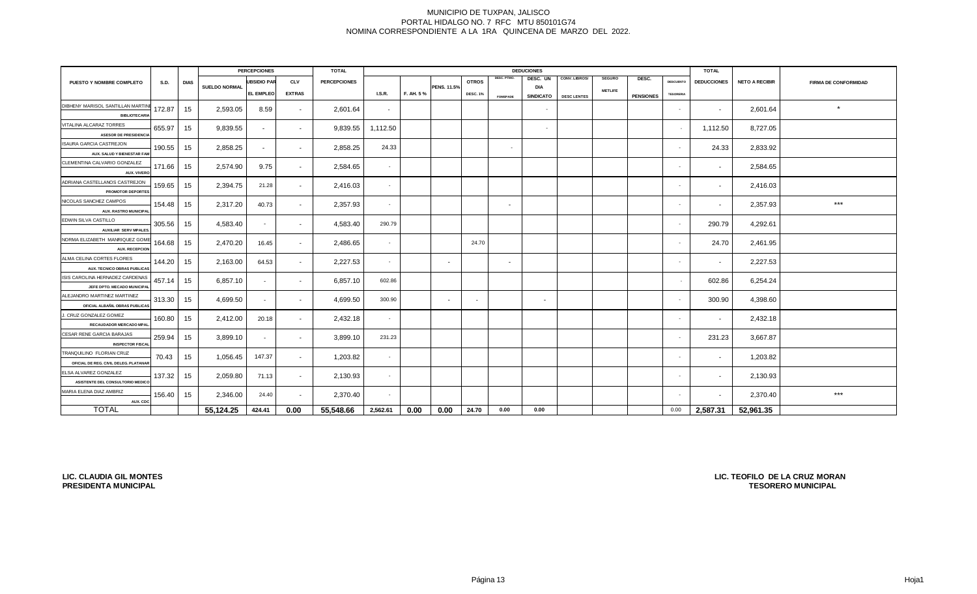|                                                               |             |             |               | <b>PERCEPCIONES</b> |               | <b>TOTAL</b>        |          | <b>DEDUCIONES</b> |                    |                 |                 | <b>TOTAL</b>     |                    |                |                  |                  |                          |                       |                             |
|---------------------------------------------------------------|-------------|-------------|---------------|---------------------|---------------|---------------------|----------|-------------------|--------------------|-----------------|-----------------|------------------|--------------------|----------------|------------------|------------------|--------------------------|-----------------------|-----------------------------|
| PUESTO Y NOMBRE COMPLETO                                      | <b>S.D.</b> | <b>DIAS</b> |               | <b>UBSIDIO PAR</b>  | <b>CLV</b>    | <b>PERCEPCIONES</b> |          |                   |                    | <b>OTROS</b>    | DESC. PTMO.     | DESC. UN         | CONV. LIBROS/      | <b>SEGURO</b>  | DESC.            | <b>DESCUENTO</b> | <b>DEDUCCIONES</b>       | <b>NETO A RECIBIR</b> | <b>FIRMA DE CONFORMIDAD</b> |
|                                                               |             |             | SUELDO NORMAL | <b>EL EMPLEO</b>    | <b>EXTRAS</b> |                     | LS.R.    | F. AH. 5%         | <b>PENS. 11.5%</b> | <b>DESC. 1%</b> |                 | DIA              |                    | <b>METLIFE</b> | <b>PENSIONES</b> | <b>TESORERIA</b> |                          |                       |                             |
| DIBHENY MARISOL SANTILLAN MARTIN                              |             |             |               |                     |               |                     |          |                   |                    |                 | <b>FOMEPADE</b> | <b>SINDICATO</b> | <b>DESC LENTES</b> |                |                  |                  |                          |                       |                             |
| <b>BIBLIOTECARIA</b>                                          | 172.87      | 15          | 2,593.05      | 8.59                | $\sim$        | 2,601.64            | $\sim$   |                   |                    |                 |                 | $\sim$           |                    |                |                  | $\sim$           | $\overline{\phantom{a}}$ | 2,601.64              | $\star$                     |
| VITALINA ALCARAZ TORRES                                       |             |             |               |                     |               |                     |          |                   |                    |                 |                 |                  |                    |                |                  |                  |                          |                       |                             |
| <b>ASESOR DE PRESIDENCIA</b>                                  | 655.97      | 15          | 9,839.55      | $\sim$              | $\sim$        | 9,839.55            | 1,112.50 |                   |                    |                 |                 | $\sim$           |                    |                |                  |                  | 1,112.50                 | 8,727.05              |                             |
| <b>ISAURA GARCIA CASTREJON</b>                                | 190.55      | 15          | 2,858.25      | $\sim$              | $\sim$        | 2,858.25            | 24.33    |                   |                    |                 | $\sim$          |                  |                    |                |                  |                  | 24.33                    | 2,833.92              |                             |
| AUX. SALUD Y BIENESTAR FAM                                    |             |             |               |                     |               |                     |          |                   |                    |                 |                 |                  |                    |                |                  |                  |                          |                       |                             |
| CLEMENTINA CALVARIO GONZALEZ                                  | 171.66      | 15          | 2,574.90      | 9.75                | $\sim$        | 2,584.65            | $\sim$   |                   |                    |                 |                 |                  |                    |                |                  |                  | $\overline{\phantom{a}}$ | 2,584.65              |                             |
| AUX. VIVERO                                                   |             |             |               |                     |               |                     |          |                   |                    |                 |                 |                  |                    |                |                  |                  |                          |                       |                             |
| ADRIANA CASTELLANOS CASTREJON                                 | 159.65      | 15          | 2,394.75      | 21.28               | $\sim$        | 2,416.03            | $\sim$   |                   |                    |                 |                 |                  |                    |                |                  |                  | $\sim$                   | 2,416.03              |                             |
| PROMOTOR DEPORTES                                             |             |             |               |                     |               |                     |          |                   |                    |                 |                 |                  |                    |                |                  |                  |                          |                       |                             |
| NICOLAS SANCHEZ CAMPOS<br><b>AUX. RASTRO MUNICIPA</b>         | 154.48      | 15          | 2,317.20      | 40.73               | $\sim$        | 2,357.93            | $\sim$   |                   |                    |                 | $\sim$          |                  |                    |                |                  | <b>.</b>         | $\sim$                   | 2,357.93              | $***$                       |
| EDWIN SILVA CASTILLO                                          |             |             |               |                     |               |                     |          |                   |                    |                 |                 |                  |                    |                |                  |                  |                          |                       |                             |
| <b>AUXILIAR SERV MPALES</b>                                   | 305.56      | 15          | 4,583.40      | $\sim$              | $\sim$        | 4,583.40            | 290.79   |                   |                    |                 |                 |                  |                    |                |                  | $\sim$           | 290.79                   | 4,292.61              |                             |
| NORMA ELIZABETH MANRIQUEZ GOM                                 |             |             |               |                     |               |                     |          |                   |                    | 24.70           |                 |                  |                    |                |                  |                  |                          |                       |                             |
| <b>AUX. RECEPCION</b>                                         | 164.68      | 15          | 2,470.20      | 16.45               | $\sim$        | 2,486.65            | $\sim$   |                   |                    |                 |                 |                  |                    |                |                  | $\sim$           | 24.70                    | 2,461.95              |                             |
| ALMA CELINA CORTES FLORES                                     | 144.20      | 15          | 2,163.00      | 64.53               | $\sim$        | 2,227.53            | $\sim$   |                   | $\sim$             |                 | $\sim$          |                  |                    |                |                  | $\sim$           | $\sim$                   | 2,227.53              |                             |
| AUX. TECNICO OBRAS PUBLICAS                                   |             |             |               |                     |               |                     |          |                   |                    |                 |                 |                  |                    |                |                  |                  |                          |                       |                             |
| ISIS CAROLINA HERNADEZ CARDENAS                               | 457.14      | 15          | 6,857.10      | $\sim$              | $\sim$        | 6,857.10            | 602.86   |                   |                    |                 |                 |                  |                    |                |                  | $\sim$           | 602.86                   | 6,254.24              |                             |
| JEFE DPTO. MECADO MUNICIPA                                    |             |             |               |                     |               |                     |          |                   |                    |                 |                 |                  |                    |                |                  |                  |                          |                       |                             |
| ALEJANDRO MARTINEZ MARTINEZ<br>OFICIAL ALBAÑIL OBRAS PUBLICAS | 313.30      | 15          | 4,699.50      | $\sim$              | $\sim$        | 4,699.50            | 300.90   |                   | $\sim$             |                 |                 | $\sim$           |                    |                |                  | $\sim$           | 300.90                   | 4,398.60              |                             |
| J. CRUZ GONZALEZ GOMEZ                                        |             |             |               |                     |               |                     |          |                   |                    |                 |                 |                  |                    |                |                  |                  |                          |                       |                             |
| RECAUDADOR MERCADO MPAL                                       | 160.80      | 15          | 2,412.00      | 20.18               | $\sim$        | 2,432.18            | $\sim$   |                   |                    |                 |                 |                  |                    |                |                  |                  | $\overline{\phantom{a}}$ | 2,432.18              |                             |
| CESAR RENE GARCIA BARAJAS                                     | 259.94      |             | 3,899.10      |                     |               | 3,899.10            | 231.23   |                   |                    |                 |                 |                  |                    |                |                  | <b>.</b>         |                          | 3,667.87              |                             |
| <b>INSPECTOR FISCA</b>                                        |             | 15          |               | $\sim$              | $\sim$        |                     |          |                   |                    |                 |                 |                  |                    |                |                  |                  | 231.23                   |                       |                             |
| TRANQUILINO FLORIAN CRUZ                                      | 70.43       | 15          | 1,056.45      | 147.37              | $\sim$        | 1,203.82            | $\sim$   |                   |                    |                 |                 |                  |                    |                |                  |                  | $\overline{\phantom{a}}$ | 1,203.82              |                             |
| OFICIAL DE REG. CIVIL DELEG. PLATANAF                         |             |             |               |                     |               |                     |          |                   |                    |                 |                 |                  |                    |                |                  |                  |                          |                       |                             |
| ELSA ALVAREZ GONZALEZ                                         | 137.32      | 15          | 2,059.80      | 71.13               | $\sim$        | 2,130.93            | $\sim$   |                   |                    |                 |                 |                  |                    |                |                  |                  | $\sim$                   | 2,130.93              |                             |
| ASISTENTE DEL CONSULTORIO MEDICO                              |             |             |               |                     |               |                     |          |                   |                    |                 |                 |                  |                    |                |                  |                  |                          |                       |                             |
| MARIA ELENA DIAZ AMBRIZ                                       | 156.40      | 15          | 2,346.00      | 24.40               | $\sim$        | 2,370.40            | $\sim$   |                   |                    |                 |                 |                  |                    |                |                  | $\sim$           | $\sim$                   | 2,370.40              | $***$                       |
| AUX. CDO<br><b>TOTAL</b>                                      |             |             | 55,124.25     | 424.41              | 0.00          | 55,548.66           | 2,562.61 | 0.00              | 0.00               | 24.70           | 0.00            | 0.00             |                    |                |                  | 0.00             | 2,587.31                 | 52,961.35             |                             |
|                                                               |             |             |               |                     |               |                     |          |                   |                    |                 |                 |                  |                    |                |                  |                  |                          |                       |                             |

**LIC. CLAUDIA GIL MONTES PRESIDENTA MUNICIPAL**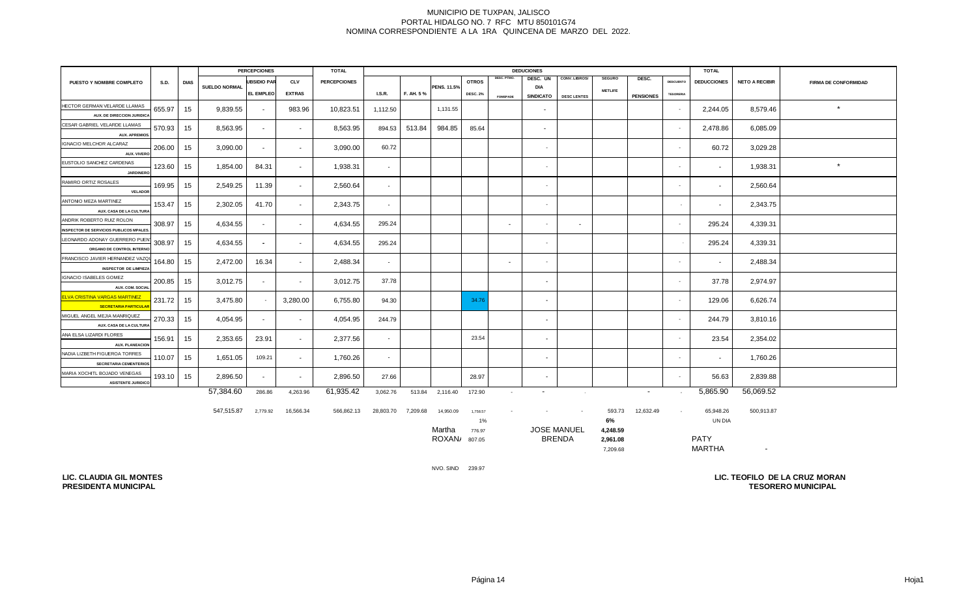|                                                                            |             |             |                      | <b>PERCEPCIONES</b><br><b>TOTAL</b><br><b>DEDUCIONES</b> |               |                     |                          |           |                    |                 | <b>TOTAL</b>    |                          |                    |                |                          |                  |                    |                       |                             |
|----------------------------------------------------------------------------|-------------|-------------|----------------------|----------------------------------------------------------|---------------|---------------------|--------------------------|-----------|--------------------|-----------------|-----------------|--------------------------|--------------------|----------------|--------------------------|------------------|--------------------|-----------------------|-----------------------------|
| PUESTO Y NOMBRE COMPLETO                                                   | <b>S.D.</b> | <b>DIAS</b> |                      | <b>UBSIDIO PAR</b>                                       | <b>CLV</b>    | <b>PERCEPCIONES</b> |                          |           |                    | <b>OTROS</b>    | DESC. PTMO.     | DESC. UN                 | CONV. LIBROS/      | <b>SEGURO</b>  | DESC.                    | <b>DESCUENTO</b> | <b>DEDUCCIONES</b> | <b>NETO A RECIBIR</b> | <b>FIRMA DE CONFORMIDAD</b> |
|                                                                            |             |             | <b>SUELDO NORMAL</b> | EL EMPLEO                                                | <b>EXTRAS</b> |                     | <b>I.S.R.</b>            | F. AH. 5% | <b>PENS. 11.5%</b> | <b>DESC. 2%</b> |                 | DIA<br><b>SINDICATO</b>  | <b>DESC LENTES</b> | <b>METLIFE</b> | <b>PENSIONES</b>         | <b>TESORERIA</b> |                    |                       |                             |
| HECTOR GERMAN VELARDE LLAMAS                                               |             |             |                      |                                                          |               |                     |                          |           |                    |                 | <b>FOMEPADE</b> |                          |                    |                |                          |                  |                    |                       |                             |
| AUX. DE DIRECCION JURIDICA                                                 | 655.97      | 15          | 9,839.55             | $\sim$                                                   | 983.96        | 10,823.51           | 1,112.50                 |           | 1,131.55           |                 |                 | $\sim$                   |                    |                |                          | $\sim$           | 2,244.05           | 8,579.46              | $\star$                     |
| CESAR GABRIEL VELARDE LLAMAS                                               |             |             |                      |                                                          |               |                     |                          |           |                    |                 |                 |                          |                    |                |                          |                  |                    |                       |                             |
| <b>AUX. APREMIOS</b>                                                       | 570.93      | 15          | 8,563.95             | $\sim$                                                   | $\sim$        | 8,563.95            | 894.53                   | 513.84    | 984.85             | 85.64           |                 | $\sim$                   |                    |                |                          | $\sim$           | 2,478.86           | 6,085.09              |                             |
| IGNACIO MELCHOR ALCARAZ<br>AUX. VIVERO                                     | 206.00      | 15          | 3,090.00             | $\sim$                                                   | $\sim$        | 3,090.00            | 60.72                    |           |                    |                 |                 | $\sim$                   |                    |                |                          | $\sim$           | 60.72              | 3,029.28              |                             |
| EUSTOLIO SANCHEZ CARDENAS<br><b>JARDINERO</b>                              | 123.60      | 15          | 1,854.00             | 84.31                                                    | $\sim$        | 1,938.31            | $\sim$                   |           |                    |                 |                 | $\sim$                   |                    |                |                          | $\sim$           | $\sim$             | 1,938.31              | $\star$                     |
| RAMIRO ORTIZ ROSALES<br><b>VELADOR</b>                                     | 169.95      | 15          | 2,549.25             | 11.39                                                    | $\sim$        | 2,560.64            | $\overline{\phantom{a}}$ |           |                    |                 |                 | $\sim$                   |                    |                |                          | $\sim$           |                    | 2,560.64              |                             |
| ANTONIO MEZA MARTINEZ<br>AUX. CASA DE LA CULTURA                           | 153.47      | 15          | 2,302.05             | 41.70                                                    | $\sim$        | 2,343.75            | $\overline{\phantom{a}}$ |           |                    |                 |                 | $\sim$                   |                    |                |                          | $\sim$           | $\sim$             | 2,343.75              |                             |
| ANDRIK ROBERTO RUIZ ROLON<br><b>INSPECTOR DE SERVICIOS PUBLICOS MPALES</b> | 308.97      | 15          | 4,634.55             | $\sim$                                                   | $\sim$        | 4,634.55            | 295.24                   |           |                    |                 | $\sim$          | $\sim$                   | $\sim$             |                |                          | $\sim$           | 295.24             | 4,339.31              |                             |
| LEONARDO ADONAY GUERRERO PUEN<br>ORGANO DE CONTROL INTERNO                 | 308.97      | 15          | 4,634.55             | $\sim$                                                   | $\sim$        | 4,634.55            | 295.24                   |           |                    |                 |                 | $\sim$                   |                    |                |                          |                  | 295.24             | 4,339.31              |                             |
| FRANCISCO JAVIER HERNANDEZ VAZQU<br><b>INSPECTOR DE LIMPIEZA</b>           | 164.80      | 15          | 2,472.00             | 16.34                                                    | $\sim$        | 2,488.34            | $\sim$                   |           |                    |                 | $\sim$          | $\sim$                   |                    |                |                          | $\sim$           | $\sim$             | 2,488.34              |                             |
| <b>IGNACIO ISABELES GOMEZ</b><br>AUX. COM. SOCIAL                          | 200.85      | 15          | 3,012.75             | $\sim$                                                   | $\sim$        | 3,012.75            | 37.78                    |           |                    |                 |                 | $\sim$                   |                    |                |                          | $\sim$           | 37.78              | 2,974.97              |                             |
| <b>ELVA CRISTINA VARGAS MARTINEZ</b><br><b>SECRETARIA PARTICULAR</b>       | 231.72      | 15          | 3,475.80             | $\sim$                                                   | 3,280.00      | 6,755.80            | 94.30                    |           |                    | 34.76           |                 | $\sim$                   |                    |                |                          | $\sim$           | 129.06             | 6,626.74              |                             |
| MIGUEL ANGEL MEJIA MANRIQUEZ<br>AUX. CASA DE LA CULTURA                    | 270.33      | 15          | 4,054.95             | $\sim$                                                   | $\sim$        | 4,054.95            | 244.79                   |           |                    |                 |                 | $\sim$                   |                    |                |                          | $\sim$           | 244.79             | 3,810.16              |                             |
| ANA ELSA LIZARDI FLORES<br><b>AUX. PLANEACION</b>                          | 156.91      | 15          | 2,353.65             | 23.91                                                    | $\sim$        | 2,377.56            | $\overline{\phantom{a}}$ |           |                    | 23.54           |                 | $\sim$                   |                    |                |                          | <b>.</b>         | 23.54              | 2,354.02              |                             |
| NADIA LIZBETH FIGUEROA TORRES<br><b>SECRETARIA CEMENTERIOS</b>             | 110.07      | - 15        | 1,651.05             | 109.21                                                   | $\sim$        | 1,760.26            | $\overline{\phantom{a}}$ |           |                    |                 |                 | $\sim$                   |                    |                |                          | $\sim$           | $\sim$             | 1,760.26              |                             |
| MARIA XOCHITL BOJADO VENEGAS<br><b>ASISTENTE JURIDICO</b>                  | 193.10      | 15          | 2,896.50             | $\sim$                                                   | $\sim$        | 2,896.50            | 27.66                    |           |                    | 28.97           |                 | $\sim$                   |                    |                |                          | $\sim$           | 56.63              | 2,839.88              |                             |
|                                                                            |             |             | 57,384.60            | 286.86                                                   | 4,263.96      | 61,935.42           | 3,062.76                 |           | 513.84 2,116.40    | 172.90          | $\sim$          | $\overline{\phantom{a}}$ | $\sim$             |                | $\overline{\phantom{a}}$ |                  | 5,865.90           | 56,069.52             |                             |

| 547,515.87 | 2,779.92 | 16,566.34 | 566,862.13 | 28,803.70 | 7,209.68 | 14,950.09 | 1,758.57 | . . | $\sim$             | 593.73   | 12,632.49 | 65,948.26     | 500,913.87 |  |
|------------|----------|-----------|------------|-----------|----------|-----------|----------|-----|--------------------|----------|-----------|---------------|------------|--|
|            |          |           |            |           |          |           | 1%       |     |                    | 6%       |           | UN DIA        |            |  |
|            |          |           |            |           |          | Martha    | 776.97   |     | <b>JOSE MANUEL</b> | 4.248.59 |           |               |            |  |
|            |          |           |            |           |          | ROXAN/    | 807.05   |     | <b>BRENDA</b>      | 2.961.08 |           | <b>PATY</b>   |            |  |
|            |          |           |            |           |          |           |          |     |                    | 7,209.68 |           | <b>MARTHA</b> | $\sim$     |  |

NVO. SIND 239.97

**LIC. CLAUDIA GIL MONTES PRESIDENTA MUNICIPAL**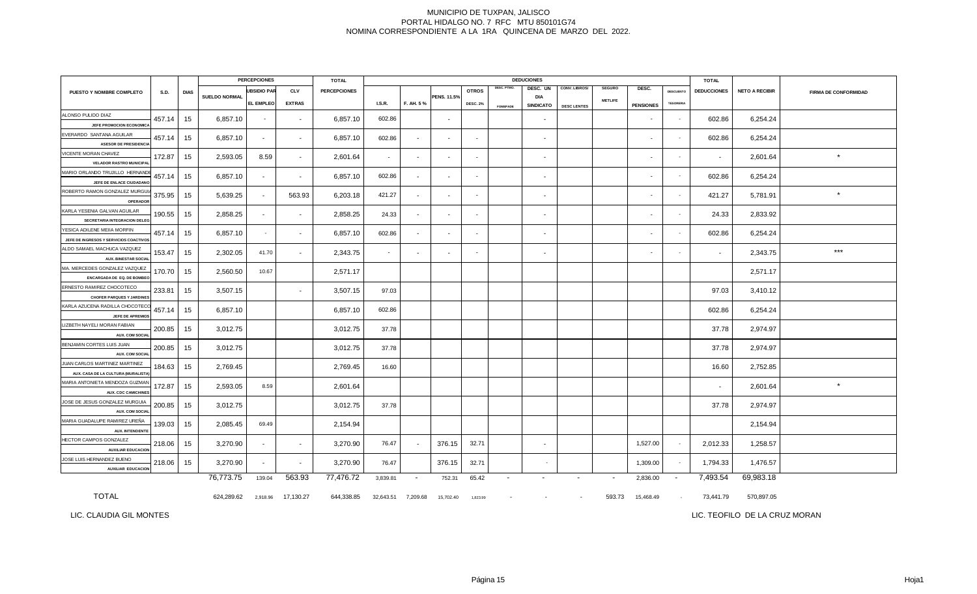|                                                                      | <b>PERCEPCIONES</b> |             |                      |                          | <b>TOTAL</b>             |                     |               |                          |                          | <b>DEDUCIONES</b> | <b>TOTAL</b>    |                          |                          |                          |                          |                  |                          |                       |                             |
|----------------------------------------------------------------------|---------------------|-------------|----------------------|--------------------------|--------------------------|---------------------|---------------|--------------------------|--------------------------|-------------------|-----------------|--------------------------|--------------------------|--------------------------|--------------------------|------------------|--------------------------|-----------------------|-----------------------------|
| PUESTO Y NOMBRE COMPLETO                                             | <b>S.D.</b>         | <b>DIAS</b> |                      | <b>UBSIDIO PAR</b>       | <b>CLV</b>               | <b>PERCEPCIONES</b> |               |                          |                          | <b>OTROS</b>      | DESC. PTMO.     | DESC. UN                 | CONV. LIBROS/            | <b>SEGURO</b>            | DESC.                    | DESCUENTO        | <b>DEDUCCIONES</b>       | <b>NETO A RECIBIR</b> | <b>FIRMA DE CONFORMIDAD</b> |
|                                                                      |                     |             | <b>SUELDO NORMAL</b> | EL EMPLEO                | <b>EXTRAS</b>            |                     | <b>I.S.R.</b> | F. AH. 5%                | PENS. 11.5%              | <b>DESC. 2%</b>   | <b>FOMEPADE</b> | DIA<br><b>SINDICATO</b>  | <b>DESC LENTES</b>       | <b>METLIFE</b>           | <b>PENSIONES</b>         | <b>TESORERIA</b> |                          |                       |                             |
| ALONSO PULIDO DIAZ<br>JEFE PROMOCION ECONOMIC.                       | 457.14              | 15          | 6,857.10             | $\overline{\phantom{a}}$ | $\sim$                   | 6,857.10            | 602.86        |                          |                          |                   |                 | $\sim$                   |                          |                          |                          | $\sim$           | 602.86                   | 6,254.24              |                             |
| EVERARDO SANTANA AGUILAR<br><b>ASESOR DE PRESIDENCIA</b>             | 457.14              | 15          | 6,857.10             | $\sim$                   | $\overline{\phantom{a}}$ | 6,857.10            | 602.86        |                          |                          |                   |                 | $\sim$                   |                          |                          |                          |                  | 602.86                   | 6,254.24              |                             |
| VICENTE MORAN CHAVEZ<br><b>VELADOR RASTRO MUNICIPAL</b>              | 172.87              | 15          | 2,593.05             | 8.59                     | $\sim$                   | 2,601.64            | $\sim$        | $\sim$                   | $\overline{a}$           | $\sim$            |                 | $\sim$                   |                          |                          | $\overline{\phantom{a}}$ | $\sim$           | $\sim$                   | 2,601.64              | $\star$                     |
| MARIO ORLANDO TRUJILLO HERNANDI                                      | 457.14              | 15          | 6,857.10             | $\sim$                   | $\sim$                   | 6,857.10            | 602.86        | $\sim$                   | $\overline{\phantom{a}}$ | $\sim$            |                 | $\sim$                   |                          |                          | $\overline{\phantom{a}}$ | $\sim$           | 602.86                   | 6,254.24              |                             |
| JEFE DE ENLACE CIUDADANO<br>ROBERTO RAMON GONZALEZ MURGUI            | 375.95              | 15          | 5,639.25             | $\sim$                   | 563.93                   | 6,203.18            | 421.27        | $\blacksquare$           |                          |                   |                 | $\sim$                   |                          |                          |                          | $\sim$           | 421.27                   | 5,781.91              | $\star$                     |
| <b>OPERADOR</b><br>KARLA YESENIA GALVAN AGUILAR                      | 190.55              | 15          | 2,858.25             | $\sim$                   | $\sim$                   | 2,858.25            | 24.33         | $\sim$                   | $\blacksquare$           | $\sim$            |                 | $\sim$                   |                          |                          | $\overline{\phantom{a}}$ | $\sim$           | 24.33                    | 2,833.92              |                             |
| SECRETARIA INTEGRACION DELEG<br>YESICA ADILENE MEIIA MORFIN          | 457.14              | 15          | 6,857.10             | $\sim$                   | $\sim$                   | 6,857.10            | 602.86        | $\overline{\phantom{a}}$ | $\overline{\phantom{a}}$ | $\sim$            |                 | $\sim$                   |                          |                          | $\overline{\phantom{a}}$ | $\sim$           | 602.86                   | 6,254.24              |                             |
| JEFE DE INGRESOS Y SERVICIOS COACTIVOS                               |                     |             |                      |                          |                          |                     |               |                          |                          |                   |                 |                          |                          |                          |                          |                  |                          |                       |                             |
| ALDO SAMAEL MACHUCA VAZQUEZ<br><b>AUX. BINESTAR SOCIA</b>            | 153.47              | 15          | 2,302.05             | 41.70                    | $\sim$                   | 2,343.75            | $\sim$        | $\overline{\phantom{a}}$ |                          |                   |                 | $\sim$                   |                          |                          |                          | $\sim$           | $\overline{\phantom{a}}$ | 2,343.75              | $\star\star\star$           |
| MA. MERCEDES GONZALEZ VAZQUEZ<br>ENCARGADA DE EQ. DE BOMBEO          | 170.70              | 15          | 2,560.50             | 10.67                    |                          | 2,571.17            |               |                          |                          |                   |                 |                          |                          |                          |                          |                  |                          | 2,571.17              |                             |
| ERNESTO RAMIREZ CHOCOTECO<br><b>CHOFER PARQUES Y JARDINES</b>        | 233.81              | 15          | 3,507.15             |                          | $\sim$                   | 3,507.15            | 97.03         |                          |                          |                   |                 |                          |                          |                          |                          |                  | 97.03                    | 3,410.12              |                             |
| KARLA AZUCENA RADILLA CHOCOTEC<br>JEFE DE APREMIOS                   | 457.14              | 15          | 6,857.10             |                          |                          | 6,857.10            | 602.86        |                          |                          |                   |                 |                          |                          |                          |                          |                  | 602.86                   | 6,254.24              |                             |
| LIZBETH NAYELI MORAN FABIAN<br><b>AUX. COM SOCIAL</b>                | 200.85              | 15          | 3,012.75             |                          |                          | 3,012.75            | 37.78         |                          |                          |                   |                 |                          |                          |                          |                          |                  | 37.78                    | 2,974.97              |                             |
| BENJAMIN CORTES LUIS JUAN                                            | 200.85              | 15          | 3,012.75             |                          |                          | 3,012.75            | 37.78         |                          |                          |                   |                 |                          |                          |                          |                          |                  | 37.78                    | 2,974.97              |                             |
| <b>AUX. COM SOCIAL</b><br>JUAN CARLOS MARTINEZ MARTINEZ              | 184.63              | 15          | 2,769.45             |                          |                          | 2,769.45            | 16.60         |                          |                          |                   |                 |                          |                          |                          |                          |                  | 16.60                    | 2,752.85              |                             |
| AUX. CASA DE LA CULTURA (MURALISTA<br>MARIA ANTONIETA MENDOZA GUZMAN | 172.87              | 15          | 2,593.05             | 8.59                     |                          | 2,601.64            |               |                          |                          |                   |                 |                          |                          |                          |                          |                  | $\overline{\phantom{a}}$ | 2,601.64              | $\star$                     |
| AUX. CDC CAMICHINES<br>JOSE DE JESUS GONZALEZ MURGUIA                | 200.85              | 15          | 3,012.75             |                          |                          | 3,012.75            | 37.78         |                          |                          |                   |                 |                          |                          |                          |                          |                  | 37.78                    | 2,974.97              |                             |
| <b>AUX. COM SOCIAL</b><br>MARIA GUADALUPE RAMIREZ UREÑA              | 139.03              | 15          | 2,085.45             | 69.49                    |                          | 2,154.94            |               |                          |                          |                   |                 |                          |                          |                          |                          |                  |                          | 2,154.94              |                             |
| <b>AUX. INTENDENTE</b>                                               |                     |             |                      |                          |                          |                     |               |                          |                          |                   |                 |                          |                          |                          |                          |                  |                          |                       |                             |
| HECTOR CAMPOS GONZALEZ<br><b>AUXILIAR EDUCACION</b>                  | 218.06              | 15          | 3,270.90             | $\sim$                   | $\sim$                   | 3,270.90            | 76.47         |                          | 376.15                   | 32.71             |                 | $\sim$                   |                          |                          | 1,527.00                 | $\sim$           | 2,012.33                 | 1,258.57              |                             |
| JOSE LUIS HERNANDEZ BUENO<br><b>AUXILIAR EDUCACION</b>               | 218.06              | 15          | 3,270.90             | $\sim$                   | $\blacksquare$           | 3,270.90            | 76.47         |                          | 376.15                   | 32.71             |                 |                          |                          |                          | 1,309.00                 | $\sim$           | 1,794.33                 | 1,476.57              |                             |
|                                                                      |                     |             | 76,773.75            | 139.04                   | 563.93                   | 77,476.72           | 3,839.81      | $\sim$                   | 752.31                   | 65.42             | $\blacksquare$  | $\overline{\phantom{a}}$ | $\overline{\phantom{a}}$ | $\overline{\phantom{a}}$ | 2,836.00                 | $\sim$           | 7,493.54                 | 69,983.18             |                             |
| <b>TOTAL</b>                                                         |                     |             | 624,289.62           | 2,918.96                 | 17,130.27                | 644,338.85          | 32,643.51     | 7,209.68                 | 15,702.40                | 1,823.99          |                 |                          |                          | 593.73                   | 15,468.49                | $\sim$           | 73,441.79                | 570,897.05            |                             |

LIC. CLAUDIA GIL MONTES

LIC. TEOFILO DE LA CRUZ MORAN